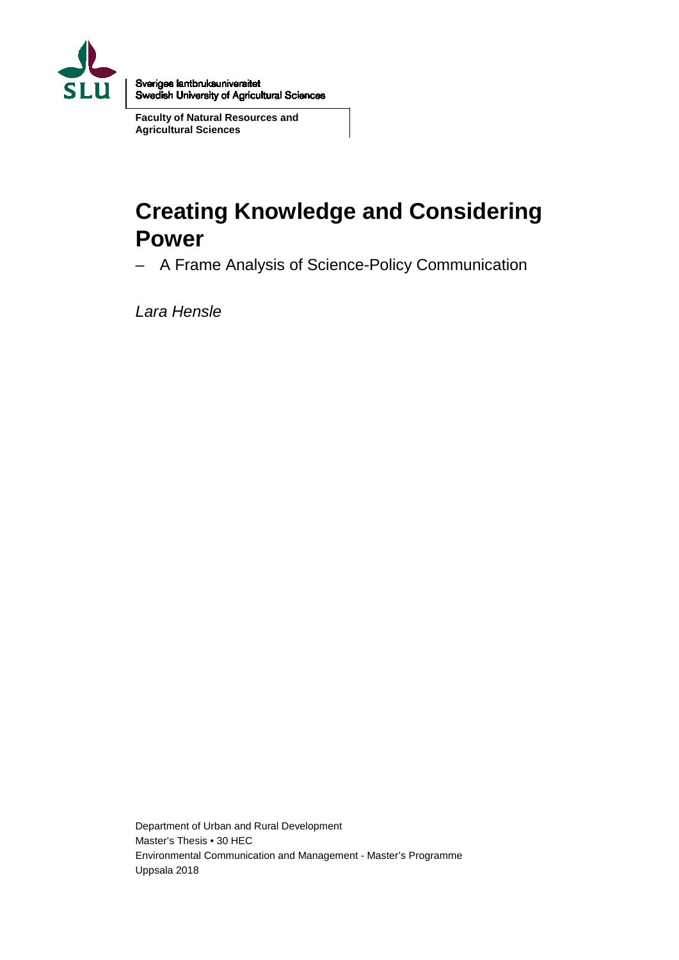

Sveriges lantbruksuniversitet Swedish University of Agricultural Sciences

**Faculty of Natural Resources and Agricultural Sciences**

# **Creating Knowledge and Considering Power**

– A Frame Analysis of Science-Policy Communication

*Lara Hensle*

Department of Urban and Rural Development Master's Thesis • 30 HEC Environmental Communication and Management - Master's Programme Uppsala 2018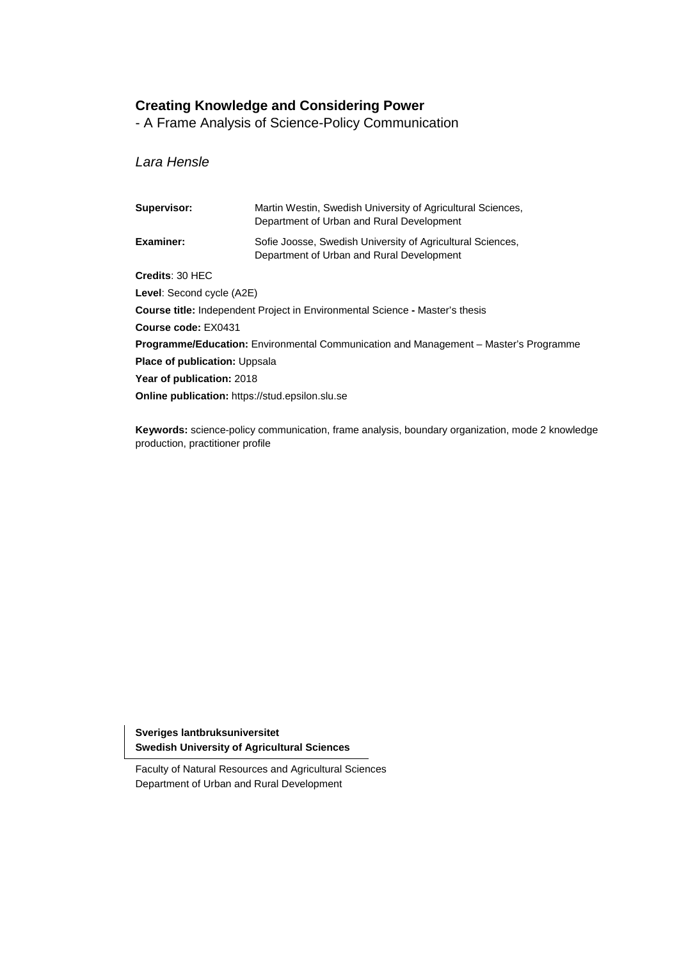## **Creating Knowledge and Considering Power**

- A Frame Analysis of Science-Policy Communication

*Lara Hensle*

| Supervisor:                                                                                 | Martin Westin, Swedish University of Agricultural Sciences,<br>Department of Urban and Rural Development |  |  |  |  |
|---------------------------------------------------------------------------------------------|----------------------------------------------------------------------------------------------------------|--|--|--|--|
| Examiner:                                                                                   | Sofie Joosse, Swedish University of Agricultural Sciences,<br>Department of Urban and Rural Development  |  |  |  |  |
| Credits: 30 HEC                                                                             |                                                                                                          |  |  |  |  |
| <b>Level:</b> Second cycle (A2E)                                                            |                                                                                                          |  |  |  |  |
| <b>Course title:</b> Independent Project in Environmental Science - Master's thesis         |                                                                                                          |  |  |  |  |
| Course code: EX0431                                                                         |                                                                                                          |  |  |  |  |
| <b>Programme/Education:</b> Environmental Communication and Management – Master's Programme |                                                                                                          |  |  |  |  |
| <b>Place of publication: Uppsala</b>                                                        |                                                                                                          |  |  |  |  |
| Year of publication: 2018                                                                   |                                                                                                          |  |  |  |  |
| <b>Online publication:</b> https://stud.epsilon.slu.se                                      |                                                                                                          |  |  |  |  |
|                                                                                             |                                                                                                          |  |  |  |  |

**Keywords:** science-policy communication, frame analysis, boundary organization, mode 2 knowledge production, practitioner profile

**Sveriges lantbruksuniversitet Swedish University of Agricultural Sciences**

Faculty of Natural Resources and Agricultural Sciences Department of Urban and Rural Development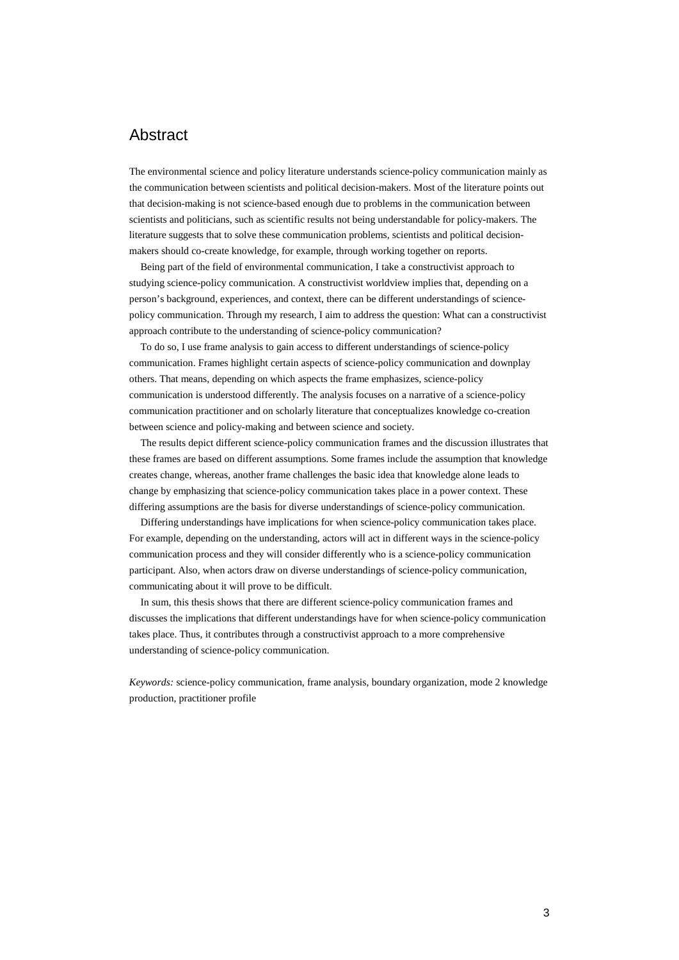## **Abstract**

The environmental science and policy literature understands science-policy communication mainly as the communication between scientists and political decision-makers. Most of the literature points out that decision-making is not science-based enough due to problems in the communication between scientists and politicians, such as scientific results not being understandable for policy-makers. The literature suggests that to solve these communication problems, scientists and political decisionmakers should co-create knowledge, for example, through working together on reports.

Being part of the field of environmental communication, I take a constructivist approach to studying science-policy communication. A constructivist worldview implies that, depending on a person's background, experiences, and context, there can be different understandings of sciencepolicy communication. Through my research, I aim to address the question: What can a constructivist approach contribute to the understanding of science-policy communication?

To do so, I use frame analysis to gain access to different understandings of science-policy communication. Frames highlight certain aspects of science-policy communication and downplay others. That means, depending on which aspects the frame emphasizes, science-policy communication is understood differently. The analysis focuses on a narrative of a science-policy communication practitioner and on scholarly literature that conceptualizes knowledge co-creation between science and policy-making and between science and society.

The results depict different science-policy communication frames and the discussion illustrates that these frames are based on different assumptions. Some frames include the assumption that knowledge creates change, whereas, another frame challenges the basic idea that knowledge alone leads to change by emphasizing that science-policy communication takes place in a power context. These differing assumptions are the basis for diverse understandings of science-policy communication.

Differing understandings have implications for when science-policy communication takes place. For example, depending on the understanding, actors will act in different ways in the science-policy communication process and they will consider differently who is a science-policy communication participant. Also, when actors draw on diverse understandings of science-policy communication, communicating about it will prove to be difficult.

In sum, this thesis shows that there are different science-policy communication frames and discusses the implications that different understandings have for when science-policy communication takes place. Thus, it contributes through a constructivist approach to a more comprehensive understanding of science-policy communication.

*Keywords:* science-policy communication, frame analysis, boundary organization, mode 2 knowledge production, practitioner profile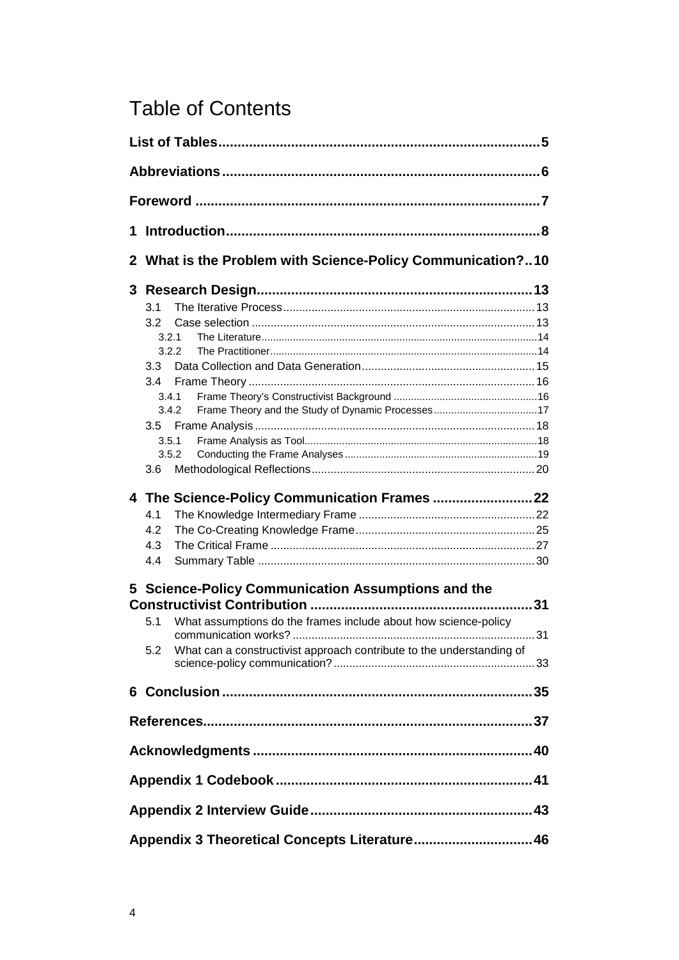# **Table of Contents**

| 1 |                                                                              |  |  |  |
|---|------------------------------------------------------------------------------|--|--|--|
|   | 2 What is the Problem with Science-Policy Communication?10                   |  |  |  |
|   |                                                                              |  |  |  |
|   | 3.1                                                                          |  |  |  |
|   | 3.2                                                                          |  |  |  |
|   | 3.2.1                                                                        |  |  |  |
|   | 3.2.2                                                                        |  |  |  |
|   | 3.3                                                                          |  |  |  |
|   | 3.4                                                                          |  |  |  |
|   | 3.4.1                                                                        |  |  |  |
|   | 3.4.2                                                                        |  |  |  |
|   |                                                                              |  |  |  |
|   | 3.5.1                                                                        |  |  |  |
|   | 3.5.2                                                                        |  |  |  |
|   | 3.6                                                                          |  |  |  |
|   |                                                                              |  |  |  |
|   | 4.1                                                                          |  |  |  |
|   | 4.2                                                                          |  |  |  |
|   | 4.3                                                                          |  |  |  |
|   | 4.4                                                                          |  |  |  |
|   | 5 Science-Policy Communication Assumptions and the                           |  |  |  |
|   |                                                                              |  |  |  |
|   | What assumptions do the frames include about how science-policy<br>5.1       |  |  |  |
|   |                                                                              |  |  |  |
|   | What can a constructivist approach contribute to the understanding of<br>5.2 |  |  |  |
|   |                                                                              |  |  |  |
|   |                                                                              |  |  |  |
|   |                                                                              |  |  |  |
|   |                                                                              |  |  |  |
|   |                                                                              |  |  |  |
|   |                                                                              |  |  |  |
|   | Appendix 3 Theoretical Concepts Literature 46                                |  |  |  |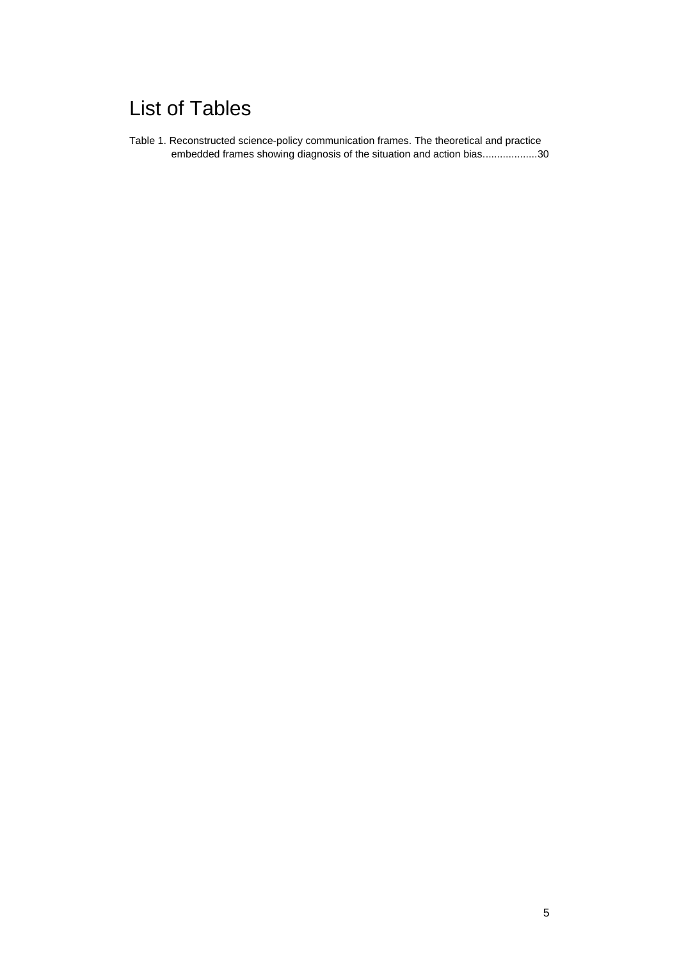# List of Tables

Table 1. Reconstructed science-policy communication frames. The theoretical and practice embedded frames showing diagnosis of the situation and action bias...................30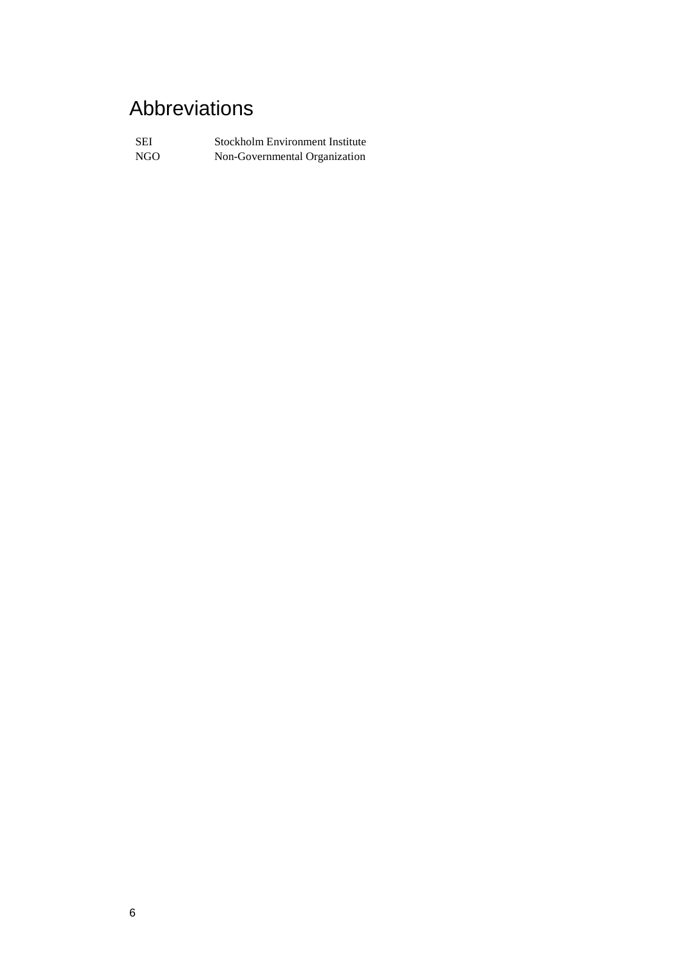# Abbreviations

SEI Stockholm Environment Institute<br>NGO Non-Governmental Organization Non-Governmental Organization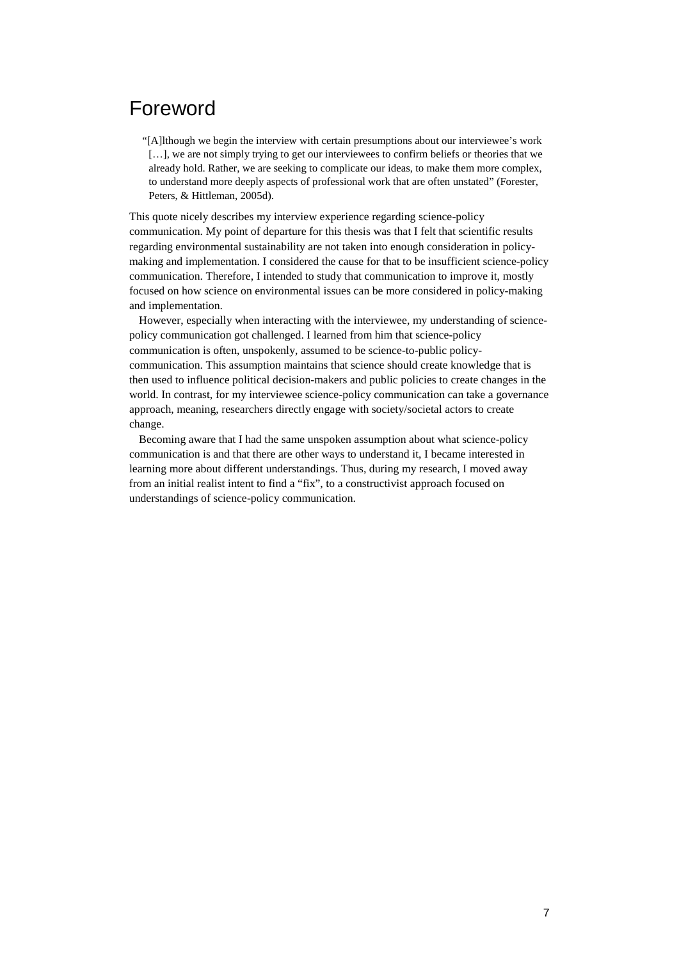## Foreword

"[A]lthough we begin the interview with certain presumptions about our interviewee's work [...], we are not simply trying to get our interviewees to confirm beliefs or theories that we already hold. Rather, we are seeking to complicate our ideas, to make them more complex, to understand more deeply aspects of professional work that are often unstated" (Forester, Peters, & Hittleman, 2005d).

This quote nicely describes my interview experience regarding science-policy communication. My point of departure for this thesis was that I felt that scientific results regarding environmental sustainability are not taken into enough consideration in policymaking and implementation. I considered the cause for that to be insufficient science-policy communication. Therefore, I intended to study that communication to improve it, mostly focused on how science on environmental issues can be more considered in policy-making and implementation.

However, especially when interacting with the interviewee, my understanding of sciencepolicy communication got challenged. I learned from him that science-policy communication is often, unspokenly, assumed to be science-to-public policycommunication. This assumption maintains that science should create knowledge that is then used to influence political decision-makers and public policies to create changes in the world. In contrast, for my interviewee science-policy communication can take a governance approach, meaning, researchers directly engage with society/societal actors to create change.

Becoming aware that I had the same unspoken assumption about what science-policy communication is and that there are other ways to understand it, I became interested in learning more about different understandings. Thus, during my research, I moved away from an initial realist intent to find a "fix", to a constructivist approach focused on understandings of science-policy communication.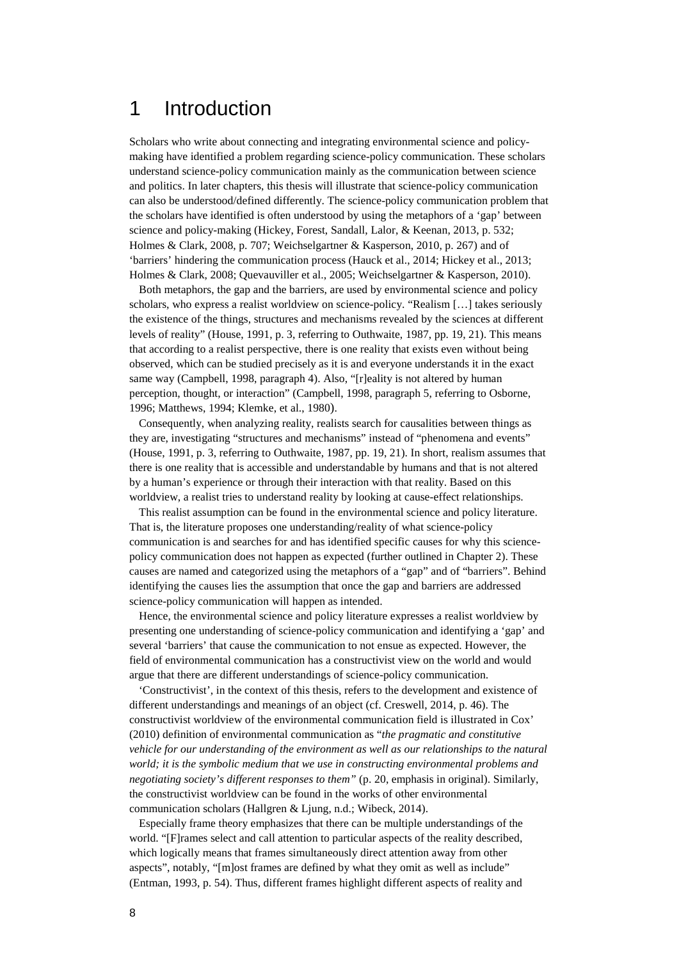## 1 Introduction

Scholars who write about connecting and integrating environmental science and policymaking have identified a problem regarding science-policy communication. These scholars understand science-policy communication mainly as the communication between science and politics. In later chapters, this thesis will illustrate that science-policy communication can also be understood/defined differently. The science-policy communication problem that the scholars have identified is often understood by using the metaphors of a 'gap' between science and policy-making (Hickey, Forest, Sandall, Lalor, & Keenan, 2013, p. 532; Holmes & Clark, 2008, p. 707; Weichselgartner & Kasperson, 2010, p. 267) and of 'barriers' hindering the communication process (Hauck et al., 2014; Hickey et al., 2013; Holmes & Clark, 2008; Quevauviller et al., 2005; Weichselgartner & Kasperson, 2010).

Both metaphors, the gap and the barriers, are used by environmental science and policy scholars, who express a realist worldview on science-policy. "Realism […] takes seriously the existence of the things, structures and mechanisms revealed by the sciences at different levels of reality" (House, 1991, p. 3, referring to Outhwaite, 1987, pp. 19, 21). This means that according to a realist perspective, there is one reality that exists even without being observed, which can be studied precisely as it is and everyone understands it in the exact same way (Campbell, 1998, paragraph 4). Also, "[r]eality is not altered by human perception, thought, or interaction" (Campbell, 1998, paragraph 5, referring to Osborne, 1996; Matthews, 1994; Klemke, et al., 1980).

Consequently, when analyzing reality, realists search for causalities between things as they are, investigating "structures and mechanisms" instead of "phenomena and events" (House, 1991, p. 3, referring to Outhwaite, 1987, pp. 19, 21). In short, realism assumes that there is one reality that is accessible and understandable by humans and that is not altered by a human's experience or through their interaction with that reality. Based on this worldview, a realist tries to understand reality by looking at cause-effect relationships.

This realist assumption can be found in the environmental science and policy literature. That is, the literature proposes one understanding/reality of what science-policy communication is and searches for and has identified specific causes for why this sciencepolicy communication does not happen as expected (further outlined in Chapter 2). These causes are named and categorized using the metaphors of a "gap" and of "barriers". Behind identifying the causes lies the assumption that once the gap and barriers are addressed science-policy communication will happen as intended.

Hence, the environmental science and policy literature expresses a realist worldview by presenting one understanding of science-policy communication and identifying a 'gap' and several 'barriers' that cause the communication to not ensue as expected. However, the field of environmental communication has a constructivist view on the world and would argue that there are different understandings of science-policy communication.

'Constructivist', in the context of this thesis, refers to the development and existence of different understandings and meanings of an object (cf. Creswell, 2014, p. 46). The constructivist worldview of the environmental communication field is illustrated in Cox' (2010) definition of environmental communication as "*the pragmatic and constitutive vehicle for our understanding of the environment as well as our relationships to the natural world; it is the symbolic medium that we use in constructing environmental problems and negotiating society's different responses to them"* (p. 20, emphasis in original). Similarly, the constructivist worldview can be found in the works of other environmental communication scholars (Hallgren & Ljung, n.d.; Wibeck, 2014).

Especially frame theory emphasizes that there can be multiple understandings of the world. "[F]rames select and call attention to particular aspects of the reality described, which logically means that frames simultaneously direct attention away from other aspects", notably, "[m]ost frames are defined by what they omit as well as include" (Entman, 1993, p. 54). Thus, different frames highlight different aspects of reality and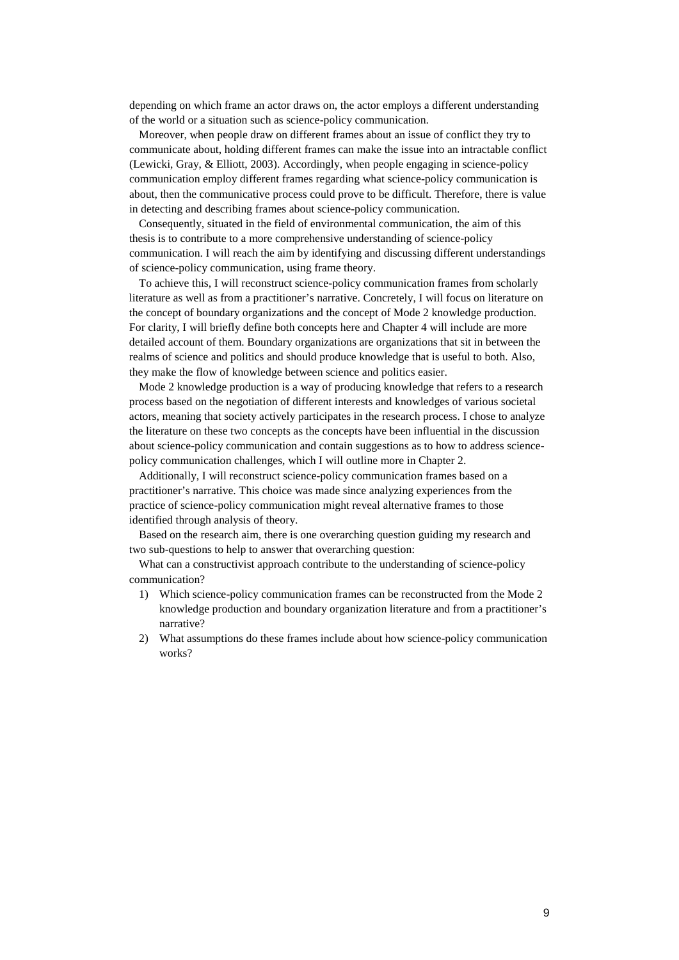depending on which frame an actor draws on, the actor employs a different understanding of the world or a situation such as science-policy communication.

Moreover, when people draw on different frames about an issue of conflict they try to communicate about, holding different frames can make the issue into an intractable conflict (Lewicki, Gray, & Elliott, 2003). Accordingly, when people engaging in science-policy communication employ different frames regarding what science-policy communication is about, then the communicative process could prove to be difficult. Therefore, there is value in detecting and describing frames about science-policy communication.

Consequently, situated in the field of environmental communication, the aim of this thesis is to contribute to a more comprehensive understanding of science-policy communication. I will reach the aim by identifying and discussing different understandings of science-policy communication, using frame theory.

To achieve this, I will reconstruct science-policy communication frames from scholarly literature as well as from a practitioner's narrative. Concretely, I will focus on literature on the concept of boundary organizations and the concept of Mode 2 knowledge production. For clarity, I will briefly define both concepts here and Chapter 4 will include are more detailed account of them. Boundary organizations are organizations that sit in between the realms of science and politics and should produce knowledge that is useful to both. Also, they make the flow of knowledge between science and politics easier.

Mode 2 knowledge production is a way of producing knowledge that refers to a research process based on the negotiation of different interests and knowledges of various societal actors, meaning that society actively participates in the research process. I chose to analyze the literature on these two concepts as the concepts have been influential in the discussion about science-policy communication and contain suggestions as to how to address sciencepolicy communication challenges, which I will outline more in Chapter 2.

Additionally, I will reconstruct science-policy communication frames based on a practitioner's narrative. This choice was made since analyzing experiences from the practice of science-policy communication might reveal alternative frames to those identified through analysis of theory.

Based on the research aim, there is one overarching question guiding my research and two sub-questions to help to answer that overarching question:

What can a constructivist approach contribute to the understanding of science-policy communication?

- 1) Which science-policy communication frames can be reconstructed from the Mode 2 knowledge production and boundary organization literature and from a practitioner's narrative?
- 2) What assumptions do these frames include about how science-policy communication works?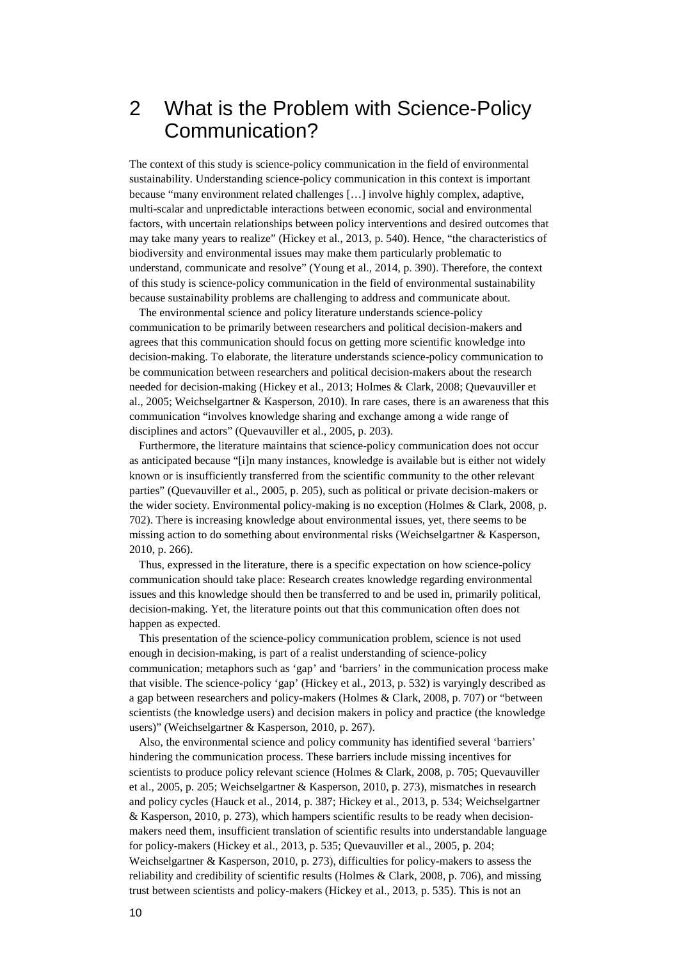2 What is the Problem with Science-Policy Communication?

The context of this study is science-policy communication in the field of environmental sustainability. Understanding science-policy communication in this context is important because "many environment related challenges […] involve highly complex, adaptive, multi-scalar and unpredictable interactions between economic, social and environmental factors, with uncertain relationships between policy interventions and desired outcomes that may take many years to realize" (Hickey et al., 2013, p. 540). Hence, "the characteristics of biodiversity and environmental issues may make them particularly problematic to understand, communicate and resolve" (Young et al., 2014, p. 390). Therefore, the context of this study is science-policy communication in the field of environmental sustainability because sustainability problems are challenging to address and communicate about.

The environmental science and policy literature understands science-policy communication to be primarily between researchers and political decision-makers and agrees that this communication should focus on getting more scientific knowledge into decision-making. To elaborate, the literature understands science-policy communication to be communication between researchers and political decision-makers about the research needed for decision-making (Hickey et al., 2013; Holmes & Clark, 2008; Quevauviller et al., 2005; Weichselgartner & Kasperson, 2010). In rare cases, there is an awareness that this communication "involves knowledge sharing and exchange among a wide range of disciplines and actors" (Quevauviller et al., 2005, p. 203).

Furthermore, the literature maintains that science-policy communication does not occur as anticipated because "[i]n many instances, knowledge is available but is either not widely known or is insufficiently transferred from the scientific community to the other relevant parties" (Quevauviller et al., 2005, p. 205), such as political or private decision-makers or the wider society. Environmental policy-making is no exception (Holmes & Clark, 2008, p. 702). There is increasing knowledge about environmental issues, yet, there seems to be missing action to do something about environmental risks (Weichselgartner & Kasperson, 2010, p. 266).

Thus, expressed in the literature, there is a specific expectation on how science-policy communication should take place: Research creates knowledge regarding environmental issues and this knowledge should then be transferred to and be used in, primarily political, decision-making. Yet, the literature points out that this communication often does not happen as expected.

This presentation of the science-policy communication problem, science is not used enough in decision-making, is part of a realist understanding of science-policy communication; metaphors such as 'gap' and 'barriers' in the communication process make that visible. The science-policy 'gap' (Hickey et al., 2013, p. 532) is varyingly described as a gap between researchers and policy-makers (Holmes & Clark, 2008, p. 707) or "between scientists (the knowledge users) and decision makers in policy and practice (the knowledge users)" (Weichselgartner & Kasperson, 2010, p. 267).

Also, the environmental science and policy community has identified several 'barriers' hindering the communication process. These barriers include missing incentives for scientists to produce policy relevant science (Holmes & Clark, 2008, p. 705; Quevauviller et al., 2005, p. 205; Weichselgartner & Kasperson, 2010, p. 273), mismatches in research and policy cycles (Hauck et al., 2014, p. 387; Hickey et al., 2013, p. 534; Weichselgartner & Kasperson, 2010, p. 273), which hampers scientific results to be ready when decisionmakers need them, insufficient translation of scientific results into understandable language for policy-makers (Hickey et al., 2013, p. 535; Quevauviller et al., 2005, p. 204; Weichselgartner & Kasperson, 2010, p. 273), difficulties for policy-makers to assess the reliability and credibility of scientific results (Holmes & Clark, 2008, p. 706), and missing trust between scientists and policy-makers (Hickey et al., 2013, p. 535). This is not an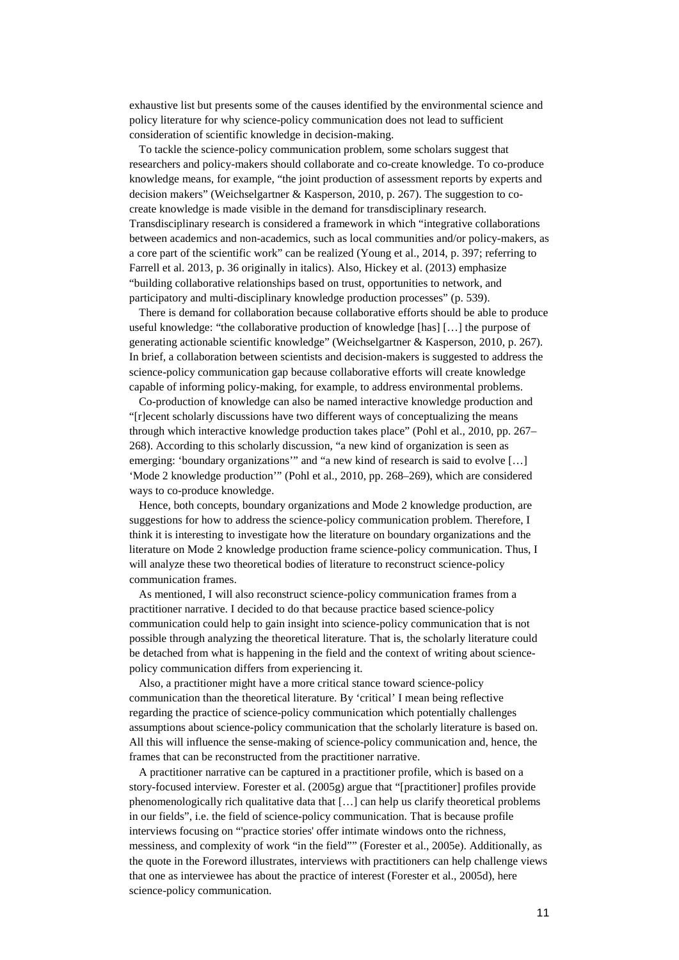exhaustive list but presents some of the causes identified by the environmental science and policy literature for why science-policy communication does not lead to sufficient consideration of scientific knowledge in decision-making.

To tackle the science-policy communication problem, some scholars suggest that researchers and policy-makers should collaborate and co-create knowledge. To co-produce knowledge means, for example, "the joint production of assessment reports by experts and decision makers" (Weichselgartner & Kasperson, 2010, p. 267). The suggestion to cocreate knowledge is made visible in the demand for transdisciplinary research. Transdisciplinary research is considered a framework in which "integrative collaborations between academics and non-academics, such as local communities and/or policy-makers, as a core part of the scientific work" can be realized (Young et al., 2014, p. 397; referring to Farrell et al. 2013, p. 36 originally in italics). Also, Hickey et al. (2013) emphasize "building collaborative relationships based on trust, opportunities to network, and participatory and multi-disciplinary knowledge production processes" (p. 539).

There is demand for collaboration because collaborative efforts should be able to produce useful knowledge: "the collaborative production of knowledge [has] […] the purpose of generating actionable scientific knowledge" (Weichselgartner & Kasperson, 2010, p. 267). In brief, a collaboration between scientists and decision-makers is suggested to address the science-policy communication gap because collaborative efforts will create knowledge capable of informing policy-making, for example, to address environmental problems.

Co-production of knowledge can also be named interactive knowledge production and "[r]ecent scholarly discussions have two different ways of conceptualizing the means through which interactive knowledge production takes place" (Pohl et al., 2010, pp. 267– 268). According to this scholarly discussion, "a new kind of organization is seen as emerging: 'boundary organizations'" and "a new kind of research is said to evolve […] 'Mode 2 knowledge production'" (Pohl et al., 2010, pp. 268–269), which are considered ways to co-produce knowledge.

Hence, both concepts, boundary organizations and Mode 2 knowledge production, are suggestions for how to address the science-policy communication problem. Therefore, I think it is interesting to investigate how the literature on boundary organizations and the literature on Mode 2 knowledge production frame science-policy communication. Thus, I will analyze these two theoretical bodies of literature to reconstruct science-policy communication frames.

As mentioned, I will also reconstruct science-policy communication frames from a practitioner narrative. I decided to do that because practice based science-policy communication could help to gain insight into science-policy communication that is not possible through analyzing the theoretical literature. That is, the scholarly literature could be detached from what is happening in the field and the context of writing about sciencepolicy communication differs from experiencing it.

Also, a practitioner might have a more critical stance toward science-policy communication than the theoretical literature. By 'critical' I mean being reflective regarding the practice of science-policy communication which potentially challenges assumptions about science-policy communication that the scholarly literature is based on. All this will influence the sense-making of science-policy communication and, hence, the frames that can be reconstructed from the practitioner narrative.

A practitioner narrative can be captured in a practitioner profile, which is based on a story-focused interview. Forester et al. (2005g) argue that "[practitioner] profiles provide phenomenologically rich qualitative data that […] can help us clarify theoretical problems in our fields", i.e. the field of science-policy communication. That is because profile interviews focusing on "'practice stories' offer intimate windows onto the richness, messiness, and complexity of work "in the field"" (Forester et al., 2005e). Additionally, as the quote in the Foreword illustrates, interviews with practitioners can help challenge views that one as interviewee has about the practice of interest (Forester et al., 2005d), here science-policy communication.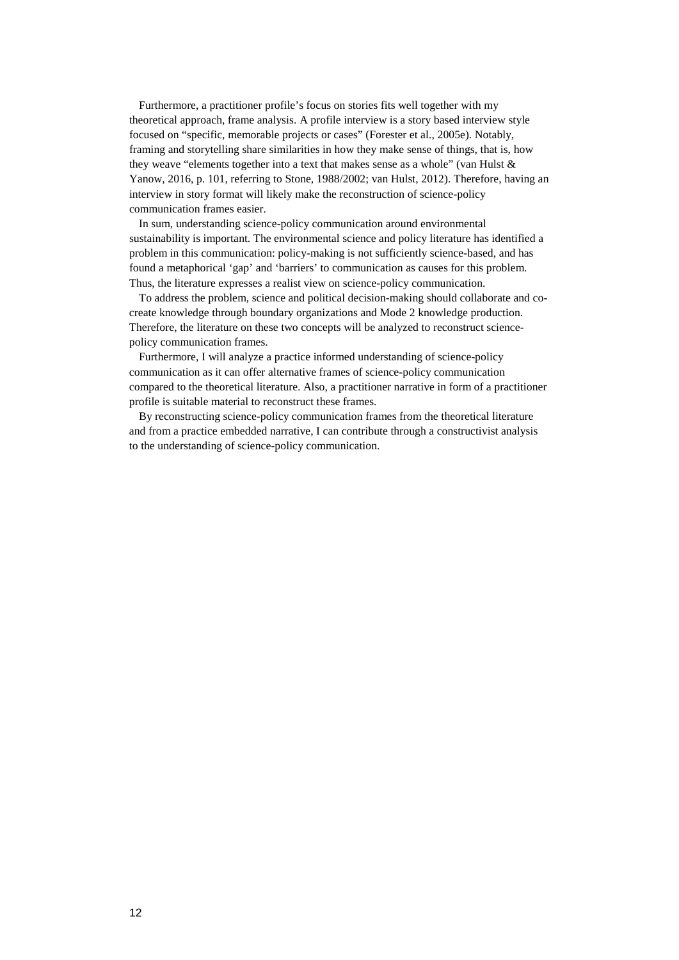Furthermore, a practitioner profile's focus on stories fits well together with my theoretical approach, frame analysis. A profile interview is a story based interview style focused on "specific, memorable projects or cases" (Forester et al., 2005e). Notably, framing and storytelling share similarities in how they make sense of things, that is, how they weave "elements together into a text that makes sense as a whole" (van Hulst & Yanow, 2016, p. 101, referring to Stone, 1988/2002; van Hulst, 2012). Therefore, having an interview in story format will likely make the reconstruction of science-policy communication frames easier.

In sum, understanding science-policy communication around environmental sustainability is important. The environmental science and policy literature has identified a problem in this communication: policy-making is not sufficiently science-based, and has found a metaphorical 'gap' and 'barriers' to communication as causes for this problem. Thus, the literature expresses a realist view on science-policy communication.

To address the problem, science and political decision-making should collaborate and cocreate knowledge through boundary organizations and Mode 2 knowledge production. Therefore, the literature on these two concepts will be analyzed to reconstruct sciencepolicy communication frames.

Furthermore, I will analyze a practice informed understanding of science-policy communication as it can offer alternative frames of science-policy communication compared to the theoretical literature. Also, a practitioner narrative in form of a practitioner profile is suitable material to reconstruct these frames.

By reconstructing science-policy communication frames from the theoretical literature and from a practice embedded narrative, I can contribute through a constructivist analysis to the understanding of science-policy communication.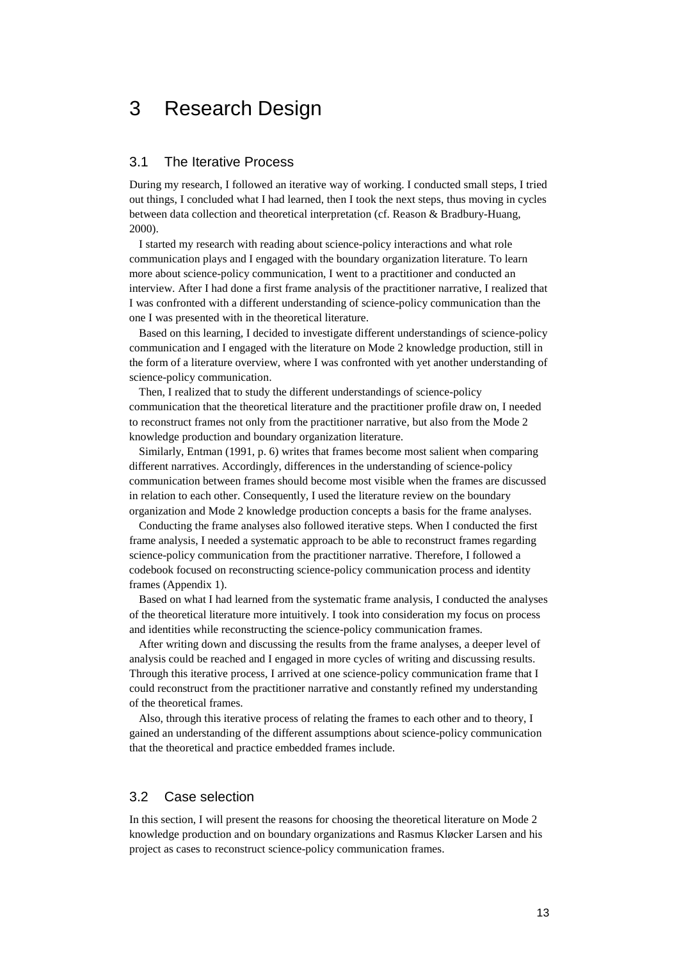## 3 Research Design

### 3.1 The Iterative Process

During my research, I followed an iterative way of working. I conducted small steps, I tried out things, I concluded what I had learned, then I took the next steps, thus moving in cycles between data collection and theoretical interpretation (cf. Reason & Bradbury-Huang, 2000).

I started my research with reading about science-policy interactions and what role communication plays and I engaged with the boundary organization literature. To learn more about science-policy communication, I went to a practitioner and conducted an interview. After I had done a first frame analysis of the practitioner narrative, I realized that I was confronted with a different understanding of science-policy communication than the one I was presented with in the theoretical literature.

Based on this learning, I decided to investigate different understandings of science-policy communication and I engaged with the literature on Mode 2 knowledge production, still in the form of a literature overview, where I was confronted with yet another understanding of science-policy communication.

Then, I realized that to study the different understandings of science-policy communication that the theoretical literature and the practitioner profile draw on, I needed to reconstruct frames not only from the practitioner narrative, but also from the Mode 2 knowledge production and boundary organization literature.

Similarly, Entman (1991, p. 6) writes that frames become most salient when comparing different narratives. Accordingly, differences in the understanding of science-policy communication between frames should become most visible when the frames are discussed in relation to each other. Consequently, I used the literature review on the boundary organization and Mode 2 knowledge production concepts a basis for the frame analyses.

Conducting the frame analyses also followed iterative steps. When I conducted the first frame analysis, I needed a systematic approach to be able to reconstruct frames regarding science-policy communication from the practitioner narrative. Therefore, I followed a codebook focused on reconstructing science-policy communication process and identity frames (Appendix 1).

Based on what I had learned from the systematic frame analysis, I conducted the analyses of the theoretical literature more intuitively. I took into consideration my focus on process and identities while reconstructing the science-policy communication frames.

After writing down and discussing the results from the frame analyses, a deeper level of analysis could be reached and I engaged in more cycles of writing and discussing results. Through this iterative process, I arrived at one science-policy communication frame that I could reconstruct from the practitioner narrative and constantly refined my understanding of the theoretical frames.

Also, through this iterative process of relating the frames to each other and to theory, I gained an understanding of the different assumptions about science-policy communication that the theoretical and practice embedded frames include.

### 3.2 Case selection

In this section, I will present the reasons for choosing the theoretical literature on Mode 2 knowledge production and on boundary organizations and Rasmus Kløcker Larsen and his project as cases to reconstruct science-policy communication frames.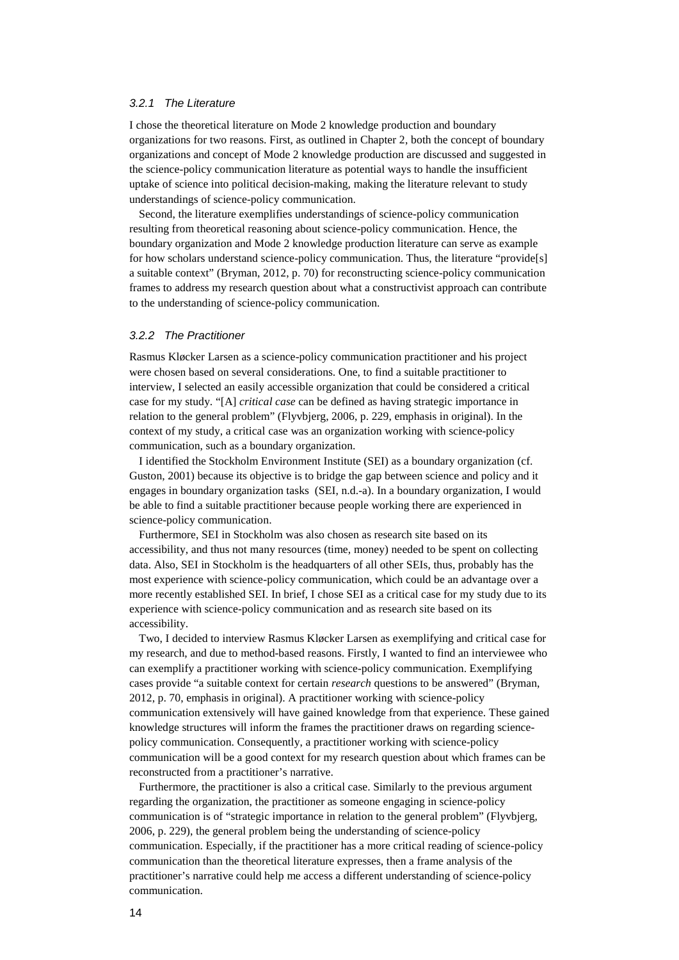#### *3.2.1 The Literature*

I chose the theoretical literature on Mode 2 knowledge production and boundary organizations for two reasons. First, as outlined in Chapter 2, both the concept of boundary organizations and concept of Mode 2 knowledge production are discussed and suggested in the science-policy communication literature as potential ways to handle the insufficient uptake of science into political decision-making, making the literature relevant to study understandings of science-policy communication.

Second, the literature exemplifies understandings of science-policy communication resulting from theoretical reasoning about science-policy communication. Hence, the boundary organization and Mode 2 knowledge production literature can serve as example for how scholars understand science-policy communication. Thus, the literature "provide[s] a suitable context" (Bryman, 2012, p. 70) for reconstructing science-policy communication frames to address my research question about what a constructivist approach can contribute to the understanding of science-policy communication.

### *3.2.2 The Practitioner*

Rasmus Kløcker Larsen as a science-policy communication practitioner and his project were chosen based on several considerations. One, to find a suitable practitioner to interview, I selected an easily accessible organization that could be considered a critical case for my study. "[A] *critical case* can be defined as having strategic importance in relation to the general problem" (Flyvbjerg, 2006, p. 229, emphasis in original). In the context of my study, a critical case was an organization working with science-policy communication, such as a boundary organization.

I identified the Stockholm Environment Institute (SEI) as a boundary organization (cf. Guston, 2001) because its objective is to bridge the gap between science and policy and it engages in boundary organization tasks (SEI, n.d.-a). In a boundary organization, I would be able to find a suitable practitioner because people working there are experienced in science-policy communication.

Furthermore, SEI in Stockholm was also chosen as research site based on its accessibility, and thus not many resources (time, money) needed to be spent on collecting data. Also, SEI in Stockholm is the headquarters of all other SEIs, thus, probably has the most experience with science-policy communication, which could be an advantage over a more recently established SEI. In brief, I chose SEI as a critical case for my study due to its experience with science-policy communication and as research site based on its accessibility.

Two, I decided to interview Rasmus Kløcker Larsen as exemplifying and critical case for my research, and due to method-based reasons. Firstly, I wanted to find an interviewee who can exemplify a practitioner working with science-policy communication. Exemplifying cases provide "a suitable context for certain *research* questions to be answered" (Bryman, 2012, p. 70, emphasis in original). A practitioner working with science-policy communication extensively will have gained knowledge from that experience. These gained knowledge structures will inform the frames the practitioner draws on regarding sciencepolicy communication. Consequently, a practitioner working with science-policy communication will be a good context for my research question about which frames can be reconstructed from a practitioner's narrative.

Furthermore, the practitioner is also a critical case. Similarly to the previous argument regarding the organization, the practitioner as someone engaging in science-policy communication is of "strategic importance in relation to the general problem" (Flyvbjerg, 2006, p. 229), the general problem being the understanding of science-policy communication. Especially, if the practitioner has a more critical reading of science-policy communication than the theoretical literature expresses, then a frame analysis of the practitioner's narrative could help me access a different understanding of science-policy communication.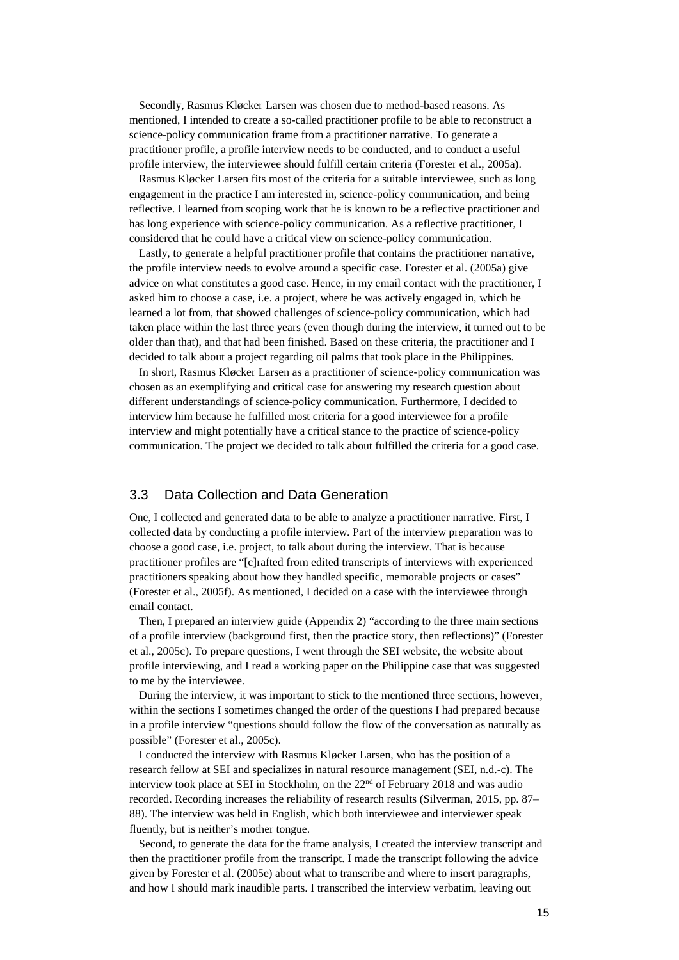Secondly, Rasmus Kløcker Larsen was chosen due to method-based reasons. As mentioned, I intended to create a so-called practitioner profile to be able to reconstruct a science-policy communication frame from a practitioner narrative. To generate a practitioner profile, a profile interview needs to be conducted, and to conduct a useful profile interview, the interviewee should fulfill certain criteria (Forester et al., 2005a).

Rasmus Kløcker Larsen fits most of the criteria for a suitable interviewee, such as long engagement in the practice I am interested in, science-policy communication, and being reflective. I learned from scoping work that he is known to be a reflective practitioner and has long experience with science-policy communication. As a reflective practitioner, I considered that he could have a critical view on science-policy communication.

Lastly, to generate a helpful practitioner profile that contains the practitioner narrative, the profile interview needs to evolve around a specific case. Forester et al. (2005a) give advice on what constitutes a good case. Hence, in my email contact with the practitioner, I asked him to choose a case, i.e. a project, where he was actively engaged in, which he learned a lot from, that showed challenges of science-policy communication, which had taken place within the last three years (even though during the interview, it turned out to be older than that), and that had been finished. Based on these criteria, the practitioner and I decided to talk about a project regarding oil palms that took place in the Philippines.

In short, Rasmus Kløcker Larsen as a practitioner of science-policy communication was chosen as an exemplifying and critical case for answering my research question about different understandings of science-policy communication. Furthermore, I decided to interview him because he fulfilled most criteria for a good interviewee for a profile interview and might potentially have a critical stance to the practice of science-policy communication. The project we decided to talk about fulfilled the criteria for a good case.

## 3.3 Data Collection and Data Generation

One, I collected and generated data to be able to analyze a practitioner narrative. First, I collected data by conducting a profile interview. Part of the interview preparation was to choose a good case, i.e. project, to talk about during the interview. That is because practitioner profiles are "[c]rafted from edited transcripts of interviews with experienced practitioners speaking about how they handled specific, memorable projects or cases" (Forester et al., 2005f). As mentioned, I decided on a case with the interviewee through email contact.

Then, I prepared an interview guide (Appendix 2) "according to the three main sections of a profile interview (background first, then the practice story, then reflections)" (Forester et al., 2005c). To prepare questions, I went through the SEI website, the website about profile interviewing, and I read a working paper on the Philippine case that was suggested to me by the interviewee.

During the interview, it was important to stick to the mentioned three sections, however, within the sections I sometimes changed the order of the questions I had prepared because in a profile interview "questions should follow the flow of the conversation as naturally as possible" (Forester et al., 2005c).

I conducted the interview with Rasmus Kløcker Larsen, who has the position of a research fellow at SEI and specializes in natural resource management (SEI, n.d.-c). The interview took place at SEI in Stockholm, on the 22nd of February 2018 and was audio recorded. Recording increases the reliability of research results (Silverman, 2015, pp. 87– 88). The interview was held in English, which both interviewee and interviewer speak fluently, but is neither's mother tongue.

Second, to generate the data for the frame analysis, I created the interview transcript and then the practitioner profile from the transcript. I made the transcript following the advice given by Forester et al. (2005e) about what to transcribe and where to insert paragraphs, and how I should mark inaudible parts. I transcribed the interview verbatim, leaving out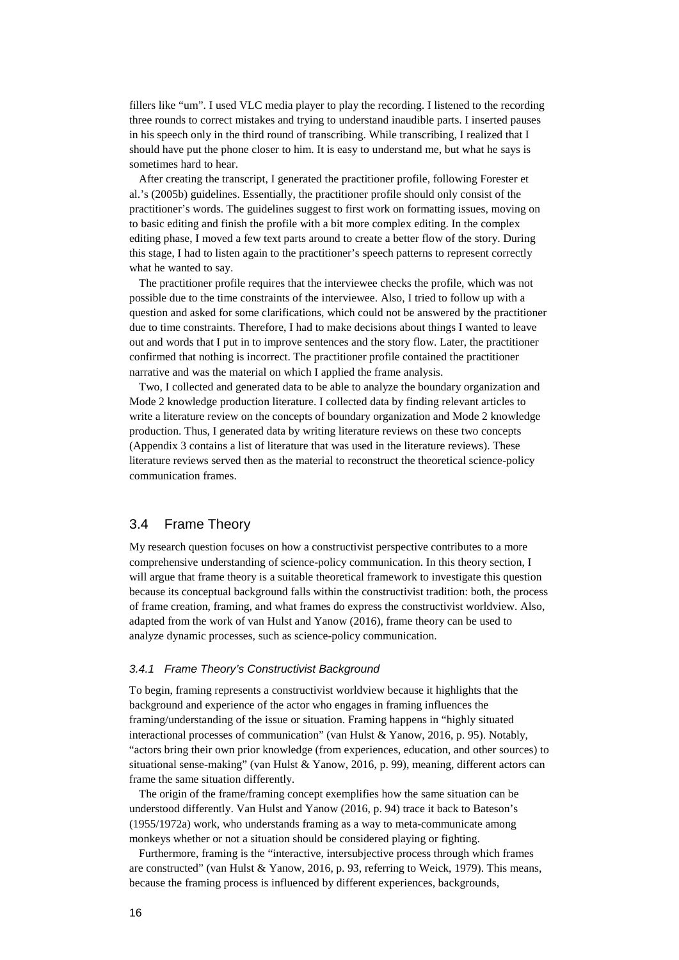fillers like "um". I used VLC media player to play the recording. I listened to the recording three rounds to correct mistakes and trying to understand inaudible parts. I inserted pauses in his speech only in the third round of transcribing. While transcribing, I realized that I should have put the phone closer to him. It is easy to understand me, but what he says is sometimes hard to hear.

After creating the transcript, I generated the practitioner profile, following Forester et al.'s (2005b) guidelines. Essentially, the practitioner profile should only consist of the practitioner's words. The guidelines suggest to first work on formatting issues, moving on to basic editing and finish the profile with a bit more complex editing. In the complex editing phase, I moved a few text parts around to create a better flow of the story. During this stage, I had to listen again to the practitioner's speech patterns to represent correctly what he wanted to say.

The practitioner profile requires that the interviewee checks the profile, which was not possible due to the time constraints of the interviewee. Also, I tried to follow up with a question and asked for some clarifications, which could not be answered by the practitioner due to time constraints. Therefore, I had to make decisions about things I wanted to leave out and words that I put in to improve sentences and the story flow. Later, the practitioner confirmed that nothing is incorrect. The practitioner profile contained the practitioner narrative and was the material on which I applied the frame analysis.

Two, I collected and generated data to be able to analyze the boundary organization and Mode 2 knowledge production literature. I collected data by finding relevant articles to write a literature review on the concepts of boundary organization and Mode 2 knowledge production. Thus, I generated data by writing literature reviews on these two concepts (Appendix 3 contains a list of literature that was used in the literature reviews). These literature reviews served then as the material to reconstruct the theoretical science-policy communication frames.

### 3.4 Frame Theory

My research question focuses on how a constructivist perspective contributes to a more comprehensive understanding of science-policy communication. In this theory section, I will argue that frame theory is a suitable theoretical framework to investigate this question because its conceptual background falls within the constructivist tradition: both, the process of frame creation, framing, and what frames do express the constructivist worldview. Also, adapted from the work of van Hulst and Yanow (2016), frame theory can be used to analyze dynamic processes, such as science-policy communication.

#### *3.4.1 Frame Theory's Constructivist Background*

To begin, framing represents a constructivist worldview because it highlights that the background and experience of the actor who engages in framing influences the framing/understanding of the issue or situation. Framing happens in "highly situated interactional processes of communication" (van Hulst & Yanow, 2016, p. 95). Notably, "actors bring their own prior knowledge (from experiences, education, and other sources) to situational sense-making" (van Hulst & Yanow, 2016, p. 99), meaning, different actors can frame the same situation differently.

The origin of the frame/framing concept exemplifies how the same situation can be understood differently. Van Hulst and Yanow (2016, p. 94) trace it back to Bateson's (1955/1972a) work, who understands framing as a way to meta-communicate among monkeys whether or not a situation should be considered playing or fighting.

Furthermore, framing is the "interactive, intersubjective process through which frames are constructed" (van Hulst & Yanow, 2016, p. 93, referring to Weick, 1979). This means, because the framing process is influenced by different experiences, backgrounds,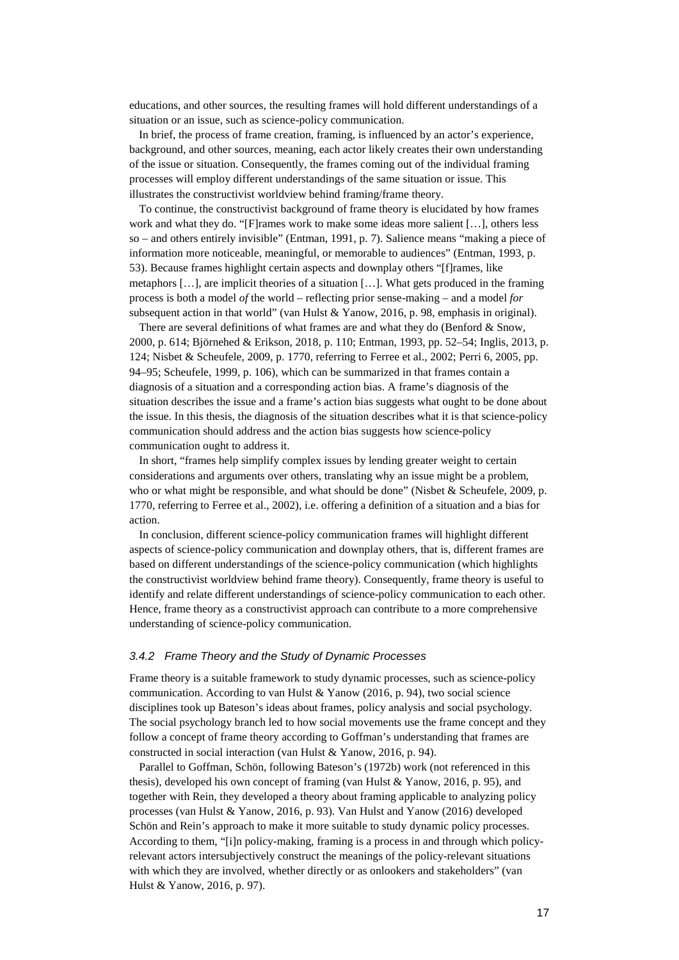educations, and other sources, the resulting frames will hold different understandings of a situation or an issue, such as science-policy communication.

In brief, the process of frame creation, framing, is influenced by an actor's experience, background, and other sources, meaning, each actor likely creates their own understanding of the issue or situation. Consequently, the frames coming out of the individual framing processes will employ different understandings of the same situation or issue. This illustrates the constructivist worldview behind framing/frame theory.

To continue, the constructivist background of frame theory is elucidated by how frames work and what they do. "[F]rames work to make some ideas more salient […], others less so – and others entirely invisible" (Entman, 1991, p. 7). Salience means "making a piece of information more noticeable, meaningful, or memorable to audiences" (Entman, 1993, p. 53). Because frames highlight certain aspects and downplay others "[f]rames, like metaphors […], are implicit theories of a situation […]. What gets produced in the framing process is both a model *of* the world – reflecting prior sense-making – and a model *for* subsequent action in that world" (van Hulst & Yanow, 2016, p. 98, emphasis in original).

There are several definitions of what frames are and what they do (Benford & Snow, 2000, p. 614; Björnehed & Erikson, 2018, p. 110; Entman, 1993, pp. 52–54; Inglis, 2013, p. 124; Nisbet & Scheufele, 2009, p. 1770, referring to Ferree et al., 2002; Perri 6, 2005, pp. 94–95; Scheufele, 1999, p. 106), which can be summarized in that frames contain a diagnosis of a situation and a corresponding action bias. A frame's diagnosis of the situation describes the issue and a frame's action bias suggests what ought to be done about the issue. In this thesis, the diagnosis of the situation describes what it is that science-policy communication should address and the action bias suggests how science-policy communication ought to address it.

In short, "frames help simplify complex issues by lending greater weight to certain considerations and arguments over others, translating why an issue might be a problem, who or what might be responsible, and what should be done" (Nisbet & Scheufele, 2009, p. 1770, referring to Ferree et al., 2002), i.e. offering a definition of a situation and a bias for action.

In conclusion, different science-policy communication frames will highlight different aspects of science-policy communication and downplay others, that is, different frames are based on different understandings of the science-policy communication (which highlights the constructivist worldview behind frame theory). Consequently, frame theory is useful to identify and relate different understandings of science-policy communication to each other. Hence, frame theory as a constructivist approach can contribute to a more comprehensive understanding of science-policy communication.

#### *3.4.2 Frame Theory and the Study of Dynamic Processes*

Frame theory is a suitable framework to study dynamic processes, such as science-policy communication. According to van Hulst & Yanow (2016, p. 94), two social science disciplines took up Bateson's ideas about frames, policy analysis and social psychology. The social psychology branch led to how social movements use the frame concept and they follow a concept of frame theory according to Goffman's understanding that frames are constructed in social interaction (van Hulst & Yanow, 2016, p. 94).

Parallel to Goffman, Schön, following Bateson's (1972b) work (not referenced in this thesis), developed his own concept of framing (van Hulst & Yanow, 2016, p. 95), and together with Rein, they developed a theory about framing applicable to analyzing policy processes (van Hulst & Yanow, 2016, p. 93). Van Hulst and Yanow (2016) developed Schön and Rein's approach to make it more suitable to study dynamic policy processes. According to them, "[i]n policy-making, framing is a process in and through which policyrelevant actors intersubjectively construct the meanings of the policy-relevant situations with which they are involved, whether directly or as onlookers and stakeholders" (van Hulst & Yanow, 2016, p. 97).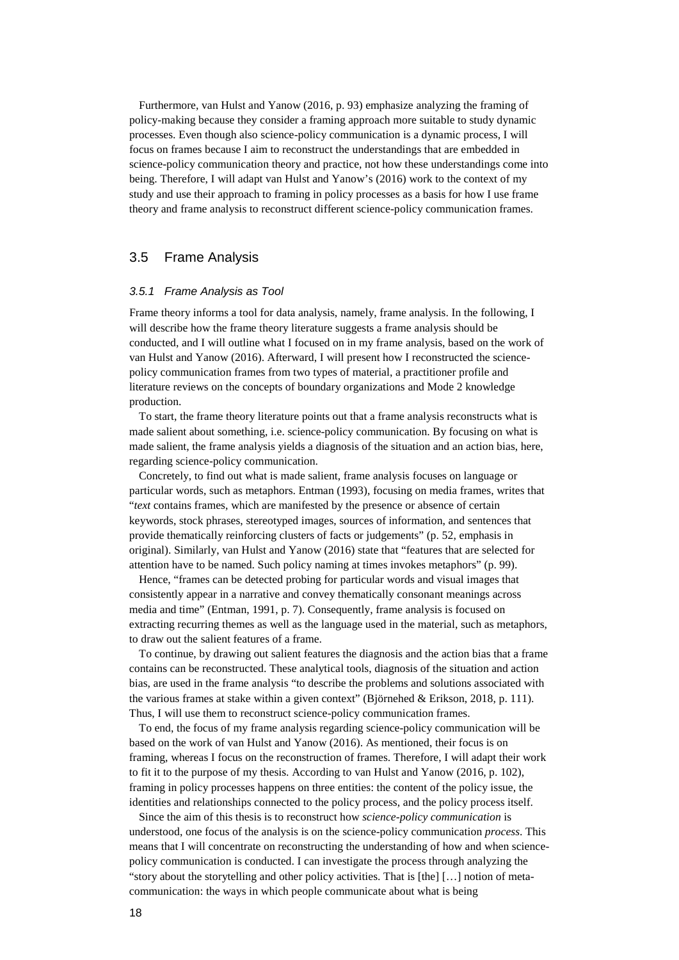Furthermore, van Hulst and Yanow (2016, p. 93) emphasize analyzing the framing of policy-making because they consider a framing approach more suitable to study dynamic processes. Even though also science-policy communication is a dynamic process, I will focus on frames because I aim to reconstruct the understandings that are embedded in science-policy communication theory and practice, not how these understandings come into being. Therefore, I will adapt van Hulst and Yanow's (2016) work to the context of my study and use their approach to framing in policy processes as a basis for how I use frame theory and frame analysis to reconstruct different science-policy communication frames.

## 3.5 Frame Analysis

#### *3.5.1 Frame Analysis as Tool*

Frame theory informs a tool for data analysis, namely, frame analysis. In the following, I will describe how the frame theory literature suggests a frame analysis should be conducted, and I will outline what I focused on in my frame analysis, based on the work of van Hulst and Yanow (2016). Afterward, I will present how I reconstructed the sciencepolicy communication frames from two types of material, a practitioner profile and literature reviews on the concepts of boundary organizations and Mode 2 knowledge production.

To start, the frame theory literature points out that a frame analysis reconstructs what is made salient about something, i.e. science-policy communication. By focusing on what is made salient, the frame analysis yields a diagnosis of the situation and an action bias, here, regarding science-policy communication.

Concretely, to find out what is made salient, frame analysis focuses on language or particular words, such as metaphors. Entman (1993), focusing on media frames, writes that "*text* contains frames, which are manifested by the presence or absence of certain keywords, stock phrases, stereotyped images, sources of information, and sentences that provide thematically reinforcing clusters of facts or judgements" (p. 52, emphasis in original). Similarly, van Hulst and Yanow (2016) state that "features that are selected for attention have to be named. Such policy naming at times invokes metaphors" (p. 99).

Hence, "frames can be detected probing for particular words and visual images that consistently appear in a narrative and convey thematically consonant meanings across media and time" (Entman, 1991, p. 7). Consequently, frame analysis is focused on extracting recurring themes as well as the language used in the material, such as metaphors, to draw out the salient features of a frame.

To continue, by drawing out salient features the diagnosis and the action bias that a frame contains can be reconstructed. These analytical tools, diagnosis of the situation and action bias, are used in the frame analysis "to describe the problems and solutions associated with the various frames at stake within a given context" (Björnehed & Erikson, 2018, p. 111). Thus, I will use them to reconstruct science-policy communication frames.

To end, the focus of my frame analysis regarding science-policy communication will be based on the work of van Hulst and Yanow (2016). As mentioned, their focus is on framing, whereas I focus on the reconstruction of frames. Therefore, I will adapt their work to fit it to the purpose of my thesis. According to van Hulst and Yanow (2016, p. 102), framing in policy processes happens on three entities: the content of the policy issue, the identities and relationships connected to the policy process, and the policy process itself.

Since the aim of this thesis is to reconstruct how *science-policy communication* is understood, one focus of the analysis is on the science-policy communication *process*. This means that I will concentrate on reconstructing the understanding of how and when sciencepolicy communication is conducted. I can investigate the process through analyzing the "story about the storytelling and other policy activities. That is [the] […] notion of metacommunication: the ways in which people communicate about what is being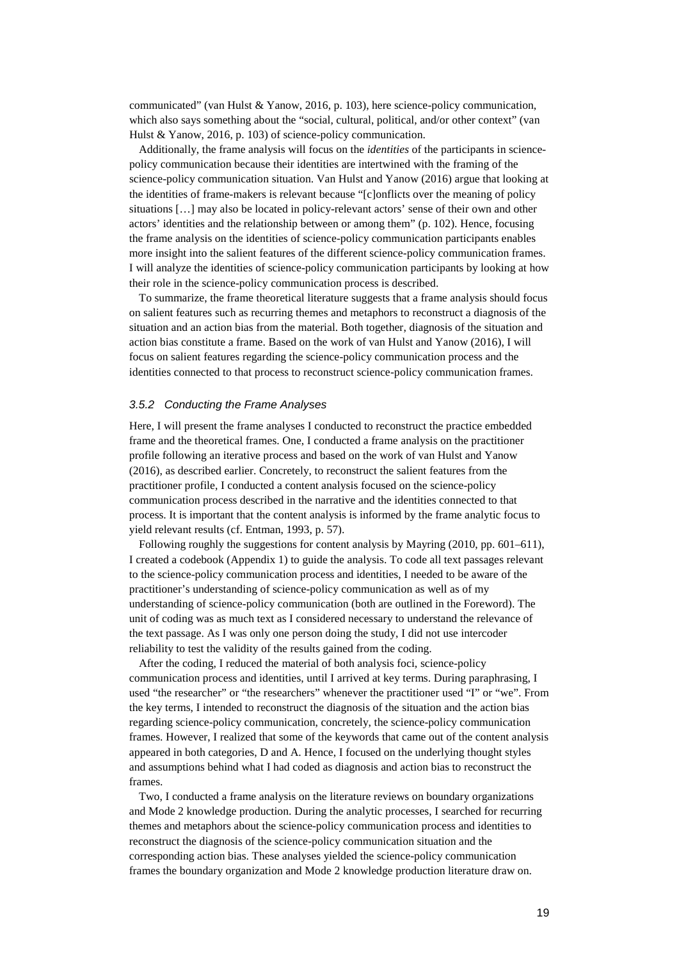communicated" (van Hulst & Yanow, 2016, p. 103), here science-policy communication, which also says something about the "social, cultural, political, and/or other context" (van Hulst & Yanow, 2016, p. 103) of science-policy communication.

Additionally, the frame analysis will focus on the *identities* of the participants in sciencepolicy communication because their identities are intertwined with the framing of the science-policy communication situation. Van Hulst and Yanow (2016) argue that looking at the identities of frame-makers is relevant because "[c]onflicts over the meaning of policy situations […] may also be located in policy-relevant actors' sense of their own and other actors' identities and the relationship between or among them" (p. 102). Hence, focusing the frame analysis on the identities of science-policy communication participants enables more insight into the salient features of the different science-policy communication frames. I will analyze the identities of science-policy communication participants by looking at how their role in the science-policy communication process is described.

To summarize, the frame theoretical literature suggests that a frame analysis should focus on salient features such as recurring themes and metaphors to reconstruct a diagnosis of the situation and an action bias from the material. Both together, diagnosis of the situation and action bias constitute a frame. Based on the work of van Hulst and Yanow (2016), I will focus on salient features regarding the science-policy communication process and the identities connected to that process to reconstruct science-policy communication frames.

#### *3.5.2 Conducting the Frame Analyses*

Here, I will present the frame analyses I conducted to reconstruct the practice embedded frame and the theoretical frames. One, I conducted a frame analysis on the practitioner profile following an iterative process and based on the work of van Hulst and Yanow (2016), as described earlier. Concretely, to reconstruct the salient features from the practitioner profile, I conducted a content analysis focused on the science-policy communication process described in the narrative and the identities connected to that process. It is important that the content analysis is informed by the frame analytic focus to yield relevant results (cf. Entman, 1993, p. 57).

Following roughly the suggestions for content analysis by Mayring (2010, pp. 601–611). I created a codebook (Appendix 1) to guide the analysis. To code all text passages relevant to the science-policy communication process and identities, I needed to be aware of the practitioner's understanding of science-policy communication as well as of my understanding of science-policy communication (both are outlined in the Foreword). The unit of coding was as much text as I considered necessary to understand the relevance of the text passage. As I was only one person doing the study, I did not use intercoder reliability to test the validity of the results gained from the coding.

After the coding, I reduced the material of both analysis foci, science-policy communication process and identities, until I arrived at key terms. During paraphrasing, I used "the researcher" or "the researchers" whenever the practitioner used "I" or "we". From the key terms, I intended to reconstruct the diagnosis of the situation and the action bias regarding science-policy communication, concretely, the science-policy communication frames. However, I realized that some of the keywords that came out of the content analysis appeared in both categories, D and A. Hence, I focused on the underlying thought styles and assumptions behind what I had coded as diagnosis and action bias to reconstruct the frames.

Two, I conducted a frame analysis on the literature reviews on boundary organizations and Mode 2 knowledge production. During the analytic processes, I searched for recurring themes and metaphors about the science-policy communication process and identities to reconstruct the diagnosis of the science-policy communication situation and the corresponding action bias. These analyses yielded the science-policy communication frames the boundary organization and Mode 2 knowledge production literature draw on.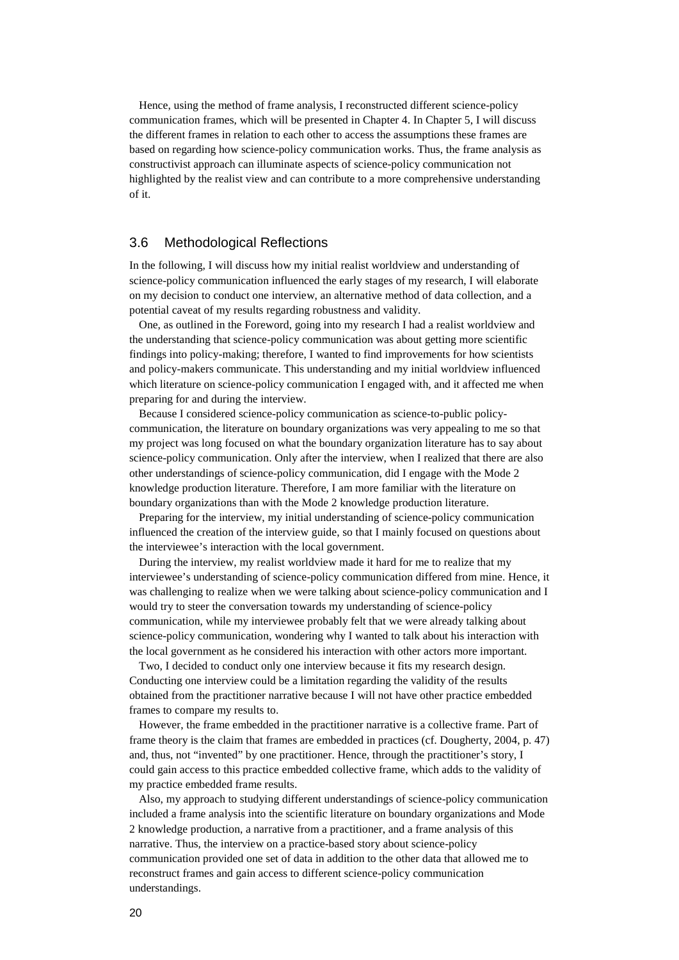Hence, using the method of frame analysis, I reconstructed different science-policy communication frames, which will be presented in Chapter 4. In Chapter 5, I will discuss the different frames in relation to each other to access the assumptions these frames are based on regarding how science-policy communication works. Thus, the frame analysis as constructivist approach can illuminate aspects of science-policy communication not highlighted by the realist view and can contribute to a more comprehensive understanding of it.

### 3.6 Methodological Reflections

In the following, I will discuss how my initial realist worldview and understanding of science-policy communication influenced the early stages of my research, I will elaborate on my decision to conduct one interview, an alternative method of data collection, and a potential caveat of my results regarding robustness and validity.

One, as outlined in the Foreword, going into my research I had a realist worldview and the understanding that science-policy communication was about getting more scientific findings into policy-making; therefore, I wanted to find improvements for how scientists and policy-makers communicate. This understanding and my initial worldview influenced which literature on science-policy communication I engaged with, and it affected me when preparing for and during the interview.

Because I considered science-policy communication as science-to-public policycommunication, the literature on boundary organizations was very appealing to me so that my project was long focused on what the boundary organization literature has to say about science-policy communication. Only after the interview, when I realized that there are also other understandings of science-policy communication, did I engage with the Mode 2 knowledge production literature. Therefore, I am more familiar with the literature on boundary organizations than with the Mode 2 knowledge production literature.

Preparing for the interview, my initial understanding of science-policy communication influenced the creation of the interview guide, so that I mainly focused on questions about the interviewee's interaction with the local government.

During the interview, my realist worldview made it hard for me to realize that my interviewee's understanding of science-policy communication differed from mine. Hence, it was challenging to realize when we were talking about science-policy communication and I would try to steer the conversation towards my understanding of science-policy communication, while my interviewee probably felt that we were already talking about science-policy communication, wondering why I wanted to talk about his interaction with the local government as he considered his interaction with other actors more important.

Two, I decided to conduct only one interview because it fits my research design. Conducting one interview could be a limitation regarding the validity of the results obtained from the practitioner narrative because I will not have other practice embedded frames to compare my results to.

However, the frame embedded in the practitioner narrative is a collective frame. Part of frame theory is the claim that frames are embedded in practices (cf. Dougherty, 2004, p. 47) and, thus, not "invented" by one practitioner. Hence, through the practitioner's story, I could gain access to this practice embedded collective frame, which adds to the validity of my practice embedded frame results.

Also, my approach to studying different understandings of science-policy communication included a frame analysis into the scientific literature on boundary organizations and Mode 2 knowledge production, a narrative from a practitioner, and a frame analysis of this narrative. Thus, the interview on a practice-based story about science-policy communication provided one set of data in addition to the other data that allowed me to reconstruct frames and gain access to different science-policy communication understandings.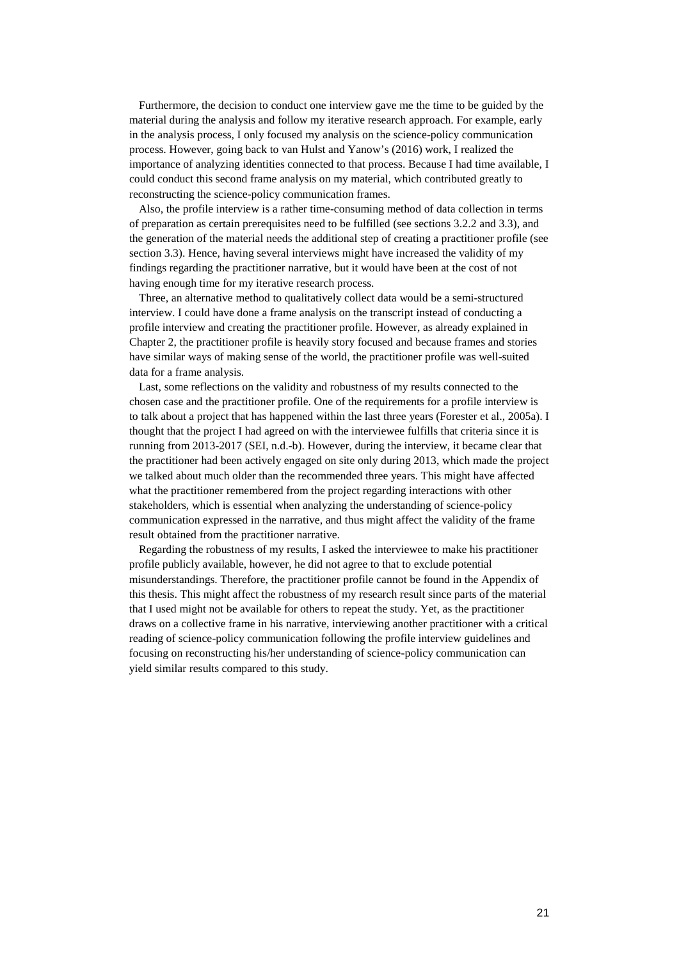Furthermore, the decision to conduct one interview gave me the time to be guided by the material during the analysis and follow my iterative research approach. For example, early in the analysis process, I only focused my analysis on the science-policy communication process. However, going back to van Hulst and Yanow's (2016) work, I realized the importance of analyzing identities connected to that process. Because I had time available, I could conduct this second frame analysis on my material, which contributed greatly to reconstructing the science-policy communication frames.

Also, the profile interview is a rather time-consuming method of data collection in terms of preparation as certain prerequisites need to be fulfilled (see sections 3.2.2 and 3.3), and the generation of the material needs the additional step of creating a practitioner profile (see section 3.3). Hence, having several interviews might have increased the validity of my findings regarding the practitioner narrative, but it would have been at the cost of not having enough time for my iterative research process.

Three, an alternative method to qualitatively collect data would be a semi-structured interview. I could have done a frame analysis on the transcript instead of conducting a profile interview and creating the practitioner profile. However, as already explained in Chapter 2, the practitioner profile is heavily story focused and because frames and stories have similar ways of making sense of the world, the practitioner profile was well-suited data for a frame analysis.

Last, some reflections on the validity and robustness of my results connected to the chosen case and the practitioner profile. One of the requirements for a profile interview is to talk about a project that has happened within the last three years (Forester et al., 2005a). I thought that the project I had agreed on with the interviewee fulfills that criteria since it is running from 2013-2017 (SEI, n.d.-b). However, during the interview, it became clear that the practitioner had been actively engaged on site only during 2013, which made the project we talked about much older than the recommended three years. This might have affected what the practitioner remembered from the project regarding interactions with other stakeholders, which is essential when analyzing the understanding of science-policy communication expressed in the narrative, and thus might affect the validity of the frame result obtained from the practitioner narrative.

Regarding the robustness of my results, I asked the interviewee to make his practitioner profile publicly available, however, he did not agree to that to exclude potential misunderstandings. Therefore, the practitioner profile cannot be found in the Appendix of this thesis. This might affect the robustness of my research result since parts of the material that I used might not be available for others to repeat the study. Yet, as the practitioner draws on a collective frame in his narrative, interviewing another practitioner with a critical reading of science-policy communication following the profile interview guidelines and focusing on reconstructing his/her understanding of science-policy communication can yield similar results compared to this study.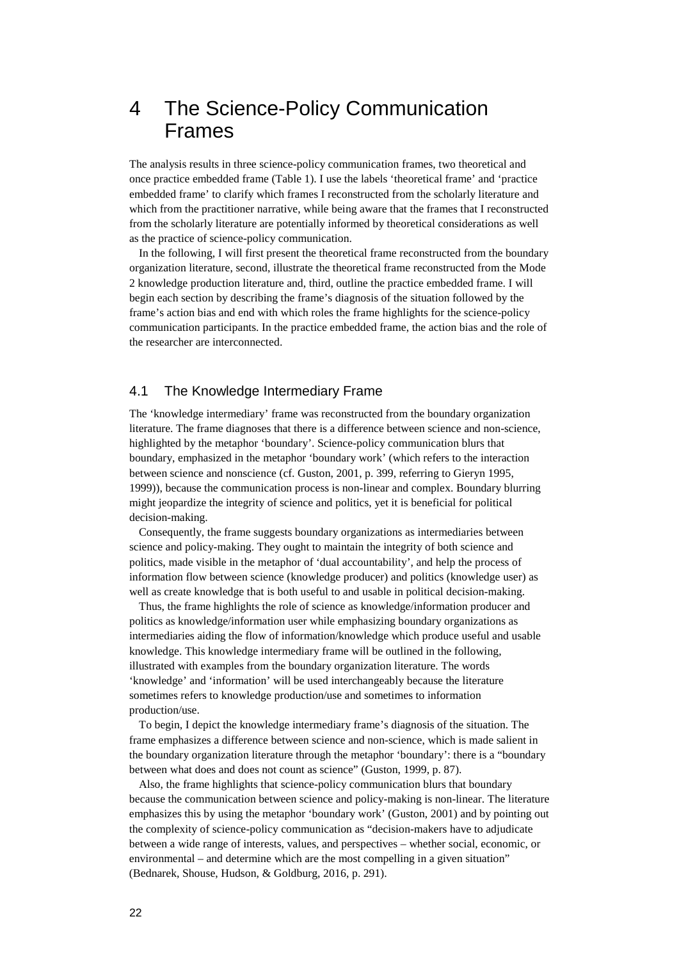## 4 The Science-Policy Communication Frames

The analysis results in three science-policy communication frames, two theoretical and once practice embedded frame (Table 1). I use the labels 'theoretical frame' and 'practice embedded frame' to clarify which frames I reconstructed from the scholarly literature and which from the practitioner narrative, while being aware that the frames that I reconstructed from the scholarly literature are potentially informed by theoretical considerations as well as the practice of science-policy communication.

In the following, I will first present the theoretical frame reconstructed from the boundary organization literature, second, illustrate the theoretical frame reconstructed from the Mode 2 knowledge production literature and, third, outline the practice embedded frame. I will begin each section by describing the frame's diagnosis of the situation followed by the frame's action bias and end with which roles the frame highlights for the science-policy communication participants. In the practice embedded frame, the action bias and the role of the researcher are interconnected.

### 4.1 The Knowledge Intermediary Frame

The 'knowledge intermediary' frame was reconstructed from the boundary organization literature. The frame diagnoses that there is a difference between science and non-science, highlighted by the metaphor 'boundary'. Science-policy communication blurs that boundary, emphasized in the metaphor 'boundary work' (which refers to the interaction between science and nonscience (cf. Guston, 2001, p. 399, referring to Gieryn 1995, 1999)), because the communication process is non-linear and complex. Boundary blurring might jeopardize the integrity of science and politics, yet it is beneficial for political decision-making.

Consequently, the frame suggests boundary organizations as intermediaries between science and policy-making. They ought to maintain the integrity of both science and politics, made visible in the metaphor of 'dual accountability', and help the process of information flow between science (knowledge producer) and politics (knowledge user) as well as create knowledge that is both useful to and usable in political decision-making.

Thus, the frame highlights the role of science as knowledge/information producer and politics as knowledge/information user while emphasizing boundary organizations as intermediaries aiding the flow of information/knowledge which produce useful and usable knowledge. This knowledge intermediary frame will be outlined in the following, illustrated with examples from the boundary organization literature. The words 'knowledge' and 'information' will be used interchangeably because the literature sometimes refers to knowledge production/use and sometimes to information production/use.

To begin, I depict the knowledge intermediary frame's diagnosis of the situation. The frame emphasizes a difference between science and non-science, which is made salient in the boundary organization literature through the metaphor 'boundary': there is a "boundary between what does and does not count as science" (Guston, 1999, p. 87).

Also, the frame highlights that science-policy communication blurs that boundary because the communication between science and policy-making is non-linear. The literature emphasizes this by using the metaphor 'boundary work' (Guston, 2001) and by pointing out the complexity of science-policy communication as "decision-makers have to adjudicate between a wide range of interests, values, and perspectives – whether social, economic, or environmental – and determine which are the most compelling in a given situation" (Bednarek, Shouse, Hudson, & Goldburg, 2016, p. 291).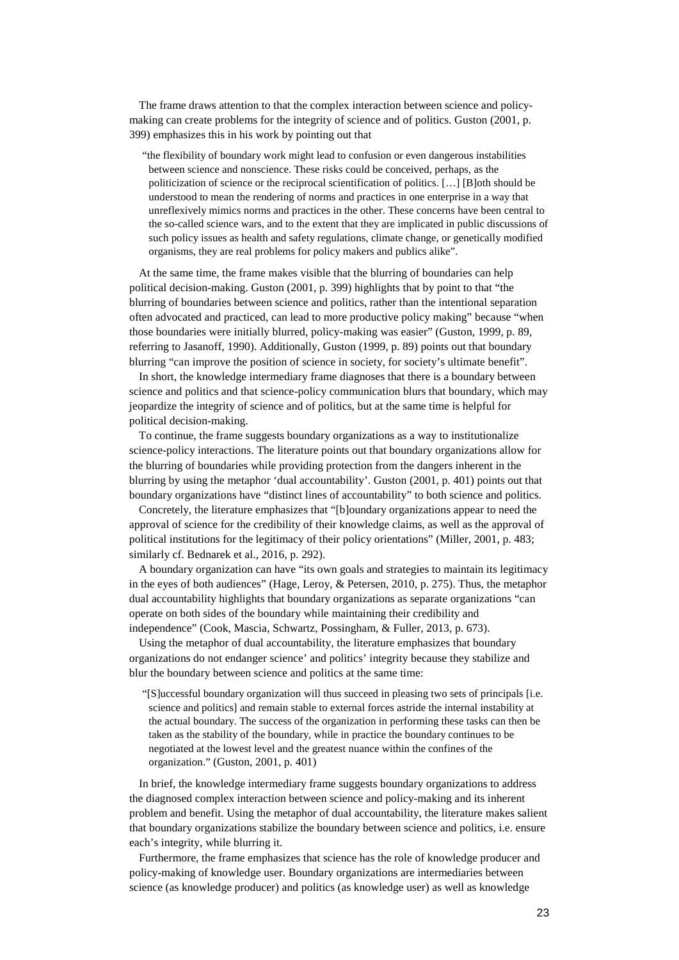The frame draws attention to that the complex interaction between science and policymaking can create problems for the integrity of science and of politics. Guston (2001, p. 399) emphasizes this in his work by pointing out that

"the flexibility of boundary work might lead to confusion or even dangerous instabilities between science and nonscience. These risks could be conceived, perhaps, as the politicization of science or the reciprocal scientification of politics. […] [B]oth should be understood to mean the rendering of norms and practices in one enterprise in a way that unreflexively mimics norms and practices in the other. These concerns have been central to the so-called science wars, and to the extent that they are implicated in public discussions of such policy issues as health and safety regulations, climate change, or genetically modified organisms, they are real problems for policy makers and publics alike".

At the same time, the frame makes visible that the blurring of boundaries can help political decision-making. Guston (2001, p. 399) highlights that by point to that "the blurring of boundaries between science and politics, rather than the intentional separation often advocated and practiced, can lead to more productive policy making" because "when those boundaries were initially blurred, policy-making was easier" (Guston, 1999, p. 89, referring to Jasanoff, 1990). Additionally, Guston (1999, p. 89) points out that boundary blurring "can improve the position of science in society, for society's ultimate benefit".

In short, the knowledge intermediary frame diagnoses that there is a boundary between science and politics and that science-policy communication blurs that boundary, which may jeopardize the integrity of science and of politics, but at the same time is helpful for political decision-making.

To continue, the frame suggests boundary organizations as a way to institutionalize science-policy interactions. The literature points out that boundary organizations allow for the blurring of boundaries while providing protection from the dangers inherent in the blurring by using the metaphor 'dual accountability'. Guston (2001, p. 401) points out that boundary organizations have "distinct lines of accountability" to both science and politics.

Concretely, the literature emphasizes that "[b]oundary organizations appear to need the approval of science for the credibility of their knowledge claims, as well as the approval of political institutions for the legitimacy of their policy orientations" (Miller, 2001, p. 483; similarly cf. Bednarek et al., 2016, p. 292).

A boundary organization can have "its own goals and strategies to maintain its legitimacy in the eyes of both audiences" (Hage, Leroy, & Petersen, 2010, p. 275). Thus, the metaphor dual accountability highlights that boundary organizations as separate organizations "can operate on both sides of the boundary while maintaining their credibility and independence" (Cook, Mascia, Schwartz, Possingham, & Fuller, 2013, p. 673).

Using the metaphor of dual accountability, the literature emphasizes that boundary organizations do not endanger science' and politics' integrity because they stabilize and blur the boundary between science and politics at the same time:

"[S]uccessful boundary organization will thus succeed in pleasing two sets of principals [i.e. science and politics] and remain stable to external forces astride the internal instability at the actual boundary. The success of the organization in performing these tasks can then be taken as the stability of the boundary, while in practice the boundary continues to be negotiated at the lowest level and the greatest nuance within the confines of the organization." (Guston, 2001, p. 401)

In brief, the knowledge intermediary frame suggests boundary organizations to address the diagnosed complex interaction between science and policy-making and its inherent problem and benefit. Using the metaphor of dual accountability, the literature makes salient that boundary organizations stabilize the boundary between science and politics, i.e. ensure each's integrity, while blurring it.

Furthermore, the frame emphasizes that science has the role of knowledge producer and policy-making of knowledge user. Boundary organizations are intermediaries between science (as knowledge producer) and politics (as knowledge user) as well as knowledge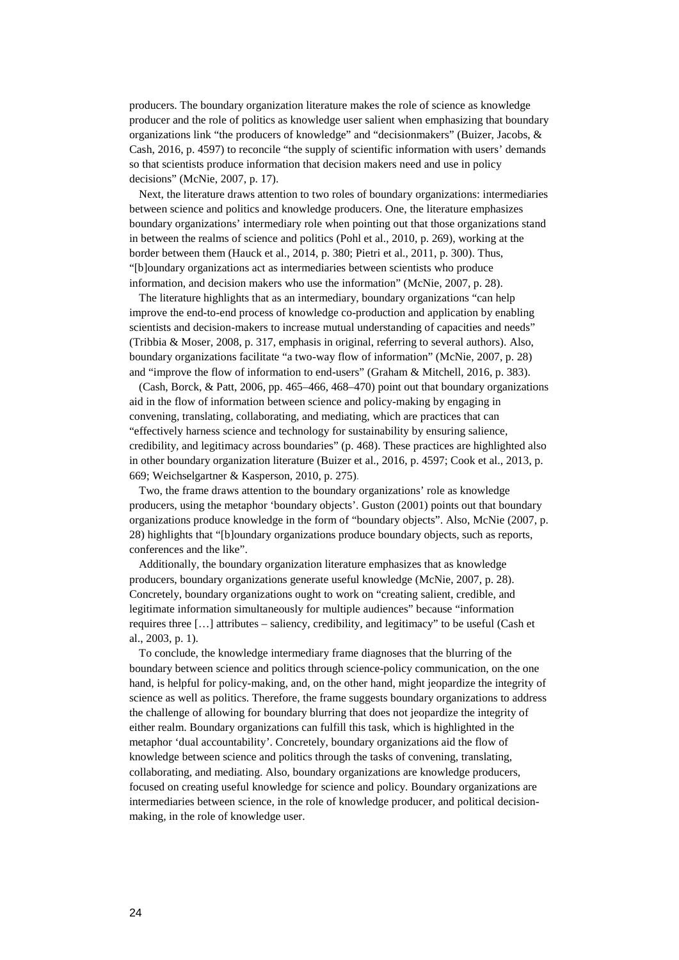producers. The boundary organization literature makes the role of science as knowledge producer and the role of politics as knowledge user salient when emphasizing that boundary organizations link "the producers of knowledge" and "decisionmakers" (Buizer, Jacobs, & Cash, 2016, p. 4597) to reconcile "the supply of scientific information with users' demands so that scientists produce information that decision makers need and use in policy decisions" (McNie, 2007, p. 17).

Next, the literature draws attention to two roles of boundary organizations: intermediaries between science and politics and knowledge producers. One, the literature emphasizes boundary organizations' intermediary role when pointing out that those organizations stand in between the realms of science and politics (Pohl et al., 2010, p. 269), working at the border between them (Hauck et al., 2014, p. 380; Pietri et al., 2011, p. 300). Thus, "[b]oundary organizations act as intermediaries between scientists who produce information, and decision makers who use the information" (McNie, 2007, p. 28).

The literature highlights that as an intermediary, boundary organizations "can help improve the end-to-end process of knowledge co-production and application by enabling scientists and decision-makers to increase mutual understanding of capacities and needs" (Tribbia & Moser, 2008, p. 317, emphasis in original, referring to several authors). Also, boundary organizations facilitate "a two-way flow of information" (McNie, 2007, p. 28) and "improve the flow of information to end-users" (Graham & Mitchell, 2016, p. 383).

(Cash, Borck, & Patt, 2006, pp. 465–466, 468–470) point out that boundary organizations aid in the flow of information between science and policy-making by engaging in convening, translating, collaborating, and mediating, which are practices that can "effectively harness science and technology for sustainability by ensuring salience, credibility, and legitimacy across boundaries" (p. 468). These practices are highlighted also in other boundary organization literature (Buizer et al., 2016, p. 4597; Cook et al., 2013, p. 669; Weichselgartner & Kasperson, 2010, p. 275).

Two, the frame draws attention to the boundary organizations' role as knowledge producers, using the metaphor 'boundary objects'. Guston (2001) points out that boundary organizations produce knowledge in the form of "boundary objects". Also, McNie (2007, p. 28) highlights that "[b]oundary organizations produce boundary objects, such as reports, conferences and the like".

Additionally, the boundary organization literature emphasizes that as knowledge producers, boundary organizations generate useful knowledge (McNie, 2007, p. 28). Concretely, boundary organizations ought to work on "creating salient, credible, and legitimate information simultaneously for multiple audiences" because "information requires three […] attributes – saliency, credibility, and legitimacy" to be useful (Cash et al., 2003, p. 1).

To conclude, the knowledge intermediary frame diagnoses that the blurring of the boundary between science and politics through science-policy communication, on the one hand, is helpful for policy-making, and, on the other hand, might jeopardize the integrity of science as well as politics. Therefore, the frame suggests boundary organizations to address the challenge of allowing for boundary blurring that does not jeopardize the integrity of either realm. Boundary organizations can fulfill this task, which is highlighted in the metaphor 'dual accountability'. Concretely, boundary organizations aid the flow of knowledge between science and politics through the tasks of convening, translating, collaborating, and mediating. Also, boundary organizations are knowledge producers, focused on creating useful knowledge for science and policy. Boundary organizations are intermediaries between science, in the role of knowledge producer, and political decisionmaking, in the role of knowledge user.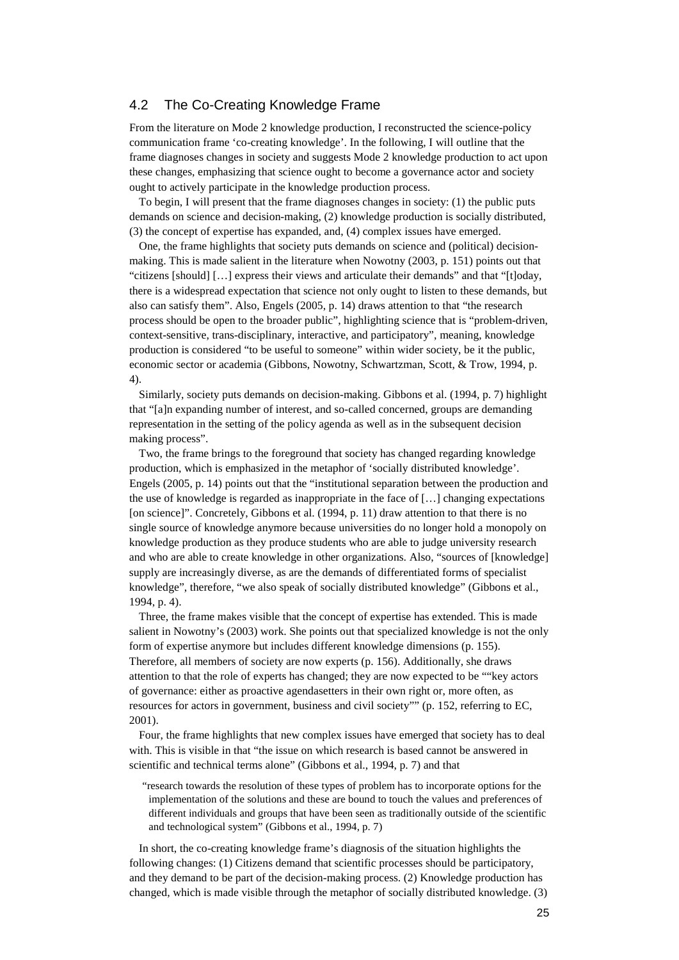### 4.2 The Co-Creating Knowledge Frame

From the literature on Mode 2 knowledge production, I reconstructed the science-policy communication frame 'co-creating knowledge'. In the following, I will outline that the frame diagnoses changes in society and suggests Mode 2 knowledge production to act upon these changes, emphasizing that science ought to become a governance actor and society ought to actively participate in the knowledge production process.

To begin, I will present that the frame diagnoses changes in society: (1) the public puts demands on science and decision-making, (2) knowledge production is socially distributed, (3) the concept of expertise has expanded, and, (4) complex issues have emerged.

One, the frame highlights that society puts demands on science and (political) decisionmaking. This is made salient in the literature when Nowotny (2003, p. 151) points out that "citizens [should] […] express their views and articulate their demands" and that "[t]oday, there is a widespread expectation that science not only ought to listen to these demands, but also can satisfy them". Also, Engels (2005, p. 14) draws attention to that "the research process should be open to the broader public", highlighting science that is "problem-driven, context-sensitive, trans-disciplinary, interactive, and participatory", meaning, knowledge production is considered "to be useful to someone" within wider society, be it the public, economic sector or academia (Gibbons, Nowotny, Schwartzman, Scott, & Trow, 1994, p. 4).

Similarly, society puts demands on decision-making. Gibbons et al. (1994, p. 7) highlight that "[a]n expanding number of interest, and so-called concerned, groups are demanding representation in the setting of the policy agenda as well as in the subsequent decision making process".

Two, the frame brings to the foreground that society has changed regarding knowledge production, which is emphasized in the metaphor of 'socially distributed knowledge'. Engels (2005, p. 14) points out that the "institutional separation between the production and the use of knowledge is regarded as inappropriate in the face of  $[...]$  changing expectations [on science]". Concretely, Gibbons et al. (1994, p. 11) draw attention to that there is no single source of knowledge anymore because universities do no longer hold a monopoly on knowledge production as they produce students who are able to judge university research and who are able to create knowledge in other organizations. Also, "sources of [knowledge] supply are increasingly diverse, as are the demands of differentiated forms of specialist knowledge", therefore, "we also speak of socially distributed knowledge" (Gibbons et al., 1994, p. 4).

Three, the frame makes visible that the concept of expertise has extended. This is made salient in Nowotny's (2003) work. She points out that specialized knowledge is not the only form of expertise anymore but includes different knowledge dimensions (p. 155). Therefore, all members of society are now experts (p. 156). Additionally, she draws attention to that the role of experts has changed; they are now expected to be ""key actors of governance: either as proactive agendasetters in their own right or, more often, as resources for actors in government, business and civil society"" (p. 152, referring to EC, 2001).

Four, the frame highlights that new complex issues have emerged that society has to deal with. This is visible in that "the issue on which research is based cannot be answered in scientific and technical terms alone" (Gibbons et al., 1994, p. 7) and that

"research towards the resolution of these types of problem has to incorporate options for the implementation of the solutions and these are bound to touch the values and preferences of different individuals and groups that have been seen as traditionally outside of the scientific and technological system" (Gibbons et al., 1994, p. 7)

In short, the co-creating knowledge frame's diagnosis of the situation highlights the following changes: (1) Citizens demand that scientific processes should be participatory, and they demand to be part of the decision-making process. (2) Knowledge production has changed, which is made visible through the metaphor of socially distributed knowledge. (3)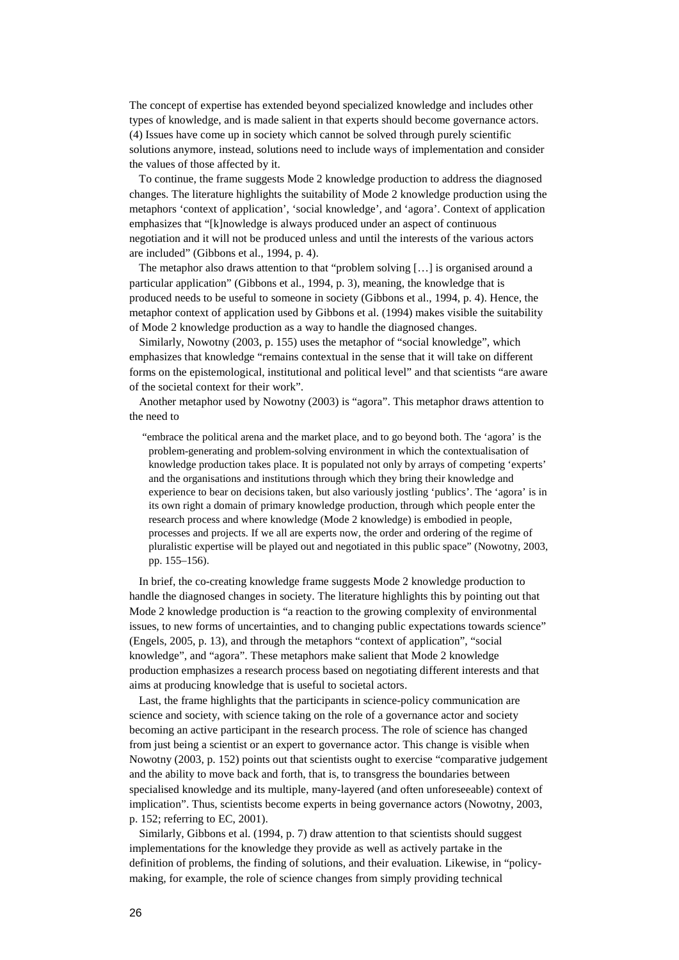The concept of expertise has extended beyond specialized knowledge and includes other types of knowledge, and is made salient in that experts should become governance actors. (4) Issues have come up in society which cannot be solved through purely scientific solutions anymore, instead, solutions need to include ways of implementation and consider the values of those affected by it.

To continue, the frame suggests Mode 2 knowledge production to address the diagnosed changes. The literature highlights the suitability of Mode 2 knowledge production using the metaphors 'context of application', 'social knowledge', and 'agora'. Context of application emphasizes that "[k]nowledge is always produced under an aspect of continuous negotiation and it will not be produced unless and until the interests of the various actors are included" (Gibbons et al., 1994, p. 4).

The metaphor also draws attention to that "problem solving […] is organised around a particular application" (Gibbons et al., 1994, p. 3), meaning, the knowledge that is produced needs to be useful to someone in society (Gibbons et al., 1994, p. 4). Hence, the metaphor context of application used by Gibbons et al. (1994) makes visible the suitability of Mode 2 knowledge production as a way to handle the diagnosed changes.

Similarly, Nowotny (2003, p. 155) uses the metaphor of "social knowledge", which emphasizes that knowledge "remains contextual in the sense that it will take on different forms on the epistemological, institutional and political level" and that scientists "are aware of the societal context for their work".

Another metaphor used by Nowotny (2003) is "agora". This metaphor draws attention to the need to

"embrace the political arena and the market place, and to go beyond both. The 'agora' is the problem-generating and problem-solving environment in which the contextualisation of knowledge production takes place. It is populated not only by arrays of competing 'experts' and the organisations and institutions through which they bring their knowledge and experience to bear on decisions taken, but also variously jostling 'publics'. The 'agora' is in its own right a domain of primary knowledge production, through which people enter the research process and where knowledge (Mode 2 knowledge) is embodied in people, processes and projects. If we all are experts now, the order and ordering of the regime of pluralistic expertise will be played out and negotiated in this public space" (Nowotny, 2003, pp. 155–156).

In brief, the co-creating knowledge frame suggests Mode 2 knowledge production to handle the diagnosed changes in society. The literature highlights this by pointing out that Mode 2 knowledge production is "a reaction to the growing complexity of environmental issues, to new forms of uncertainties, and to changing public expectations towards science" (Engels, 2005, p. 13), and through the metaphors "context of application", "social knowledge", and "agora". These metaphors make salient that Mode 2 knowledge production emphasizes a research process based on negotiating different interests and that aims at producing knowledge that is useful to societal actors.

Last, the frame highlights that the participants in science-policy communication are science and society, with science taking on the role of a governance actor and society becoming an active participant in the research process. The role of science has changed from just being a scientist or an expert to governance actor. This change is visible when Nowotny (2003, p. 152) points out that scientists ought to exercise "comparative judgement and the ability to move back and forth, that is, to transgress the boundaries between specialised knowledge and its multiple, many-layered (and often unforeseeable) context of implication". Thus, scientists become experts in being governance actors (Nowotny, 2003, p. 152; referring to EC, 2001).

Similarly, Gibbons et al. (1994, p. 7) draw attention to that scientists should suggest implementations for the knowledge they provide as well as actively partake in the definition of problems, the finding of solutions, and their evaluation. Likewise, in "policymaking, for example, the role of science changes from simply providing technical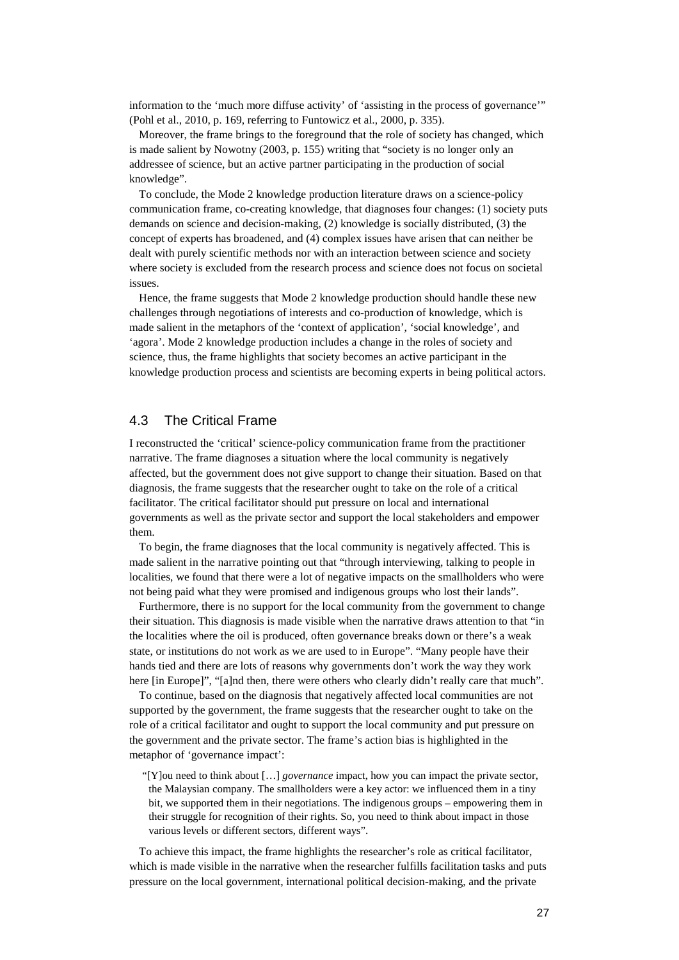information to the 'much more diffuse activity' of 'assisting in the process of governance'" (Pohl et al., 2010, p. 169, referring to Funtowicz et al., 2000, p. 335).

Moreover, the frame brings to the foreground that the role of society has changed, which is made salient by Nowotny (2003, p. 155) writing that "society is no longer only an addressee of science, but an active partner participating in the production of social knowledge".

To conclude, the Mode 2 knowledge production literature draws on a science-policy communication frame, co-creating knowledge, that diagnoses four changes: (1) society puts demands on science and decision-making, (2) knowledge is socially distributed, (3) the concept of experts has broadened, and (4) complex issues have arisen that can neither be dealt with purely scientific methods nor with an interaction between science and society where society is excluded from the research process and science does not focus on societal issues.

Hence, the frame suggests that Mode 2 knowledge production should handle these new challenges through negotiations of interests and co-production of knowledge, which is made salient in the metaphors of the 'context of application', 'social knowledge', and 'agora'. Mode 2 knowledge production includes a change in the roles of society and science, thus, the frame highlights that society becomes an active participant in the knowledge production process and scientists are becoming experts in being political actors.

## 4.3 The Critical Frame

I reconstructed the 'critical' science-policy communication frame from the practitioner narrative. The frame diagnoses a situation where the local community is negatively affected, but the government does not give support to change their situation. Based on that diagnosis, the frame suggests that the researcher ought to take on the role of a critical facilitator. The critical facilitator should put pressure on local and international governments as well as the private sector and support the local stakeholders and empower them.

To begin, the frame diagnoses that the local community is negatively affected. This is made salient in the narrative pointing out that "through interviewing, talking to people in localities, we found that there were a lot of negative impacts on the smallholders who were not being paid what they were promised and indigenous groups who lost their lands".

Furthermore, there is no support for the local community from the government to change their situation. This diagnosis is made visible when the narrative draws attention to that "in the localities where the oil is produced, often governance breaks down or there's a weak state, or institutions do not work as we are used to in Europe". "Many people have their hands tied and there are lots of reasons why governments don't work the way they work here [in Europe]", "[a]nd then, there were others who clearly didn't really care that much".

To continue, based on the diagnosis that negatively affected local communities are not supported by the government, the frame suggests that the researcher ought to take on the role of a critical facilitator and ought to support the local community and put pressure on the government and the private sector. The frame's action bias is highlighted in the metaphor of 'governance impact':

"[Y]ou need to think about […] *governance* impact, how you can impact the private sector, the Malaysian company. The smallholders were a key actor: we influenced them in a tiny bit, we supported them in their negotiations. The indigenous groups – empowering them in their struggle for recognition of their rights. So, you need to think about impact in those various levels or different sectors, different ways".

To achieve this impact, the frame highlights the researcher's role as critical facilitator, which is made visible in the narrative when the researcher fulfills facilitation tasks and puts pressure on the local government, international political decision-making, and the private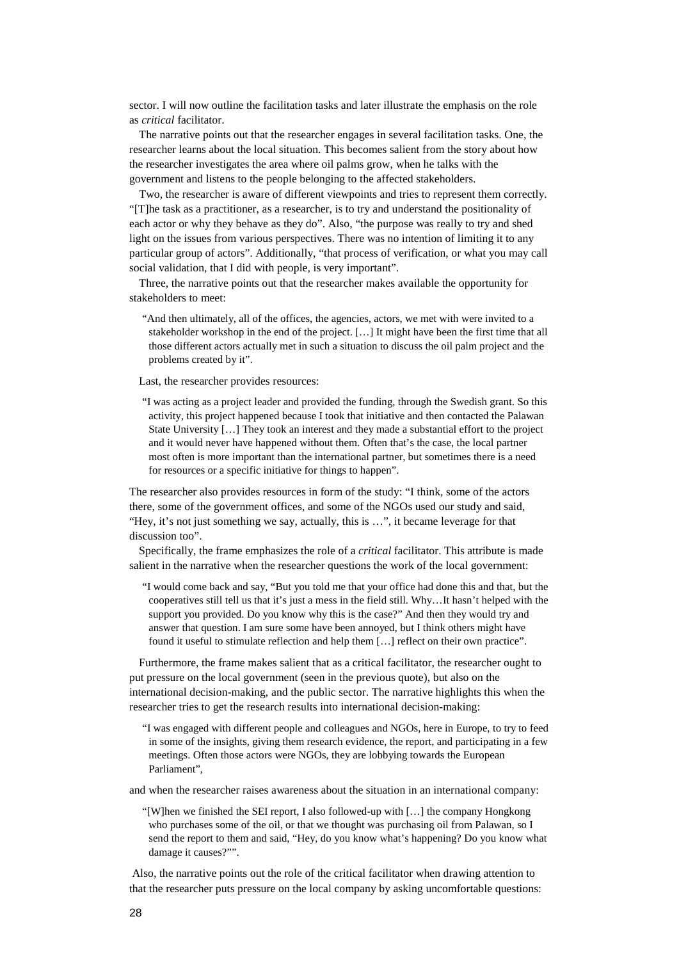sector. I will now outline the facilitation tasks and later illustrate the emphasis on the role as *critical* facilitator.

The narrative points out that the researcher engages in several facilitation tasks. One, the researcher learns about the local situation. This becomes salient from the story about how the researcher investigates the area where oil palms grow, when he talks with the government and listens to the people belonging to the affected stakeholders.

Two, the researcher is aware of different viewpoints and tries to represent them correctly. "[T]he task as a practitioner, as a researcher, is to try and understand the positionality of each actor or why they behave as they do". Also, "the purpose was really to try and shed light on the issues from various perspectives. There was no intention of limiting it to any particular group of actors". Additionally, "that process of verification, or what you may call social validation, that I did with people, is very important".

Three, the narrative points out that the researcher makes available the opportunity for stakeholders to meet:

"And then ultimately, all of the offices, the agencies, actors, we met with were invited to a stakeholder workshop in the end of the project. […] It might have been the first time that all those different actors actually met in such a situation to discuss the oil palm project and the problems created by it".

Last, the researcher provides resources:

"I was acting as a project leader and provided the funding, through the Swedish grant. So this activity, this project happened because I took that initiative and then contacted the Palawan State University […] They took an interest and they made a substantial effort to the project and it would never have happened without them. Often that's the case, the local partner most often is more important than the international partner, but sometimes there is a need for resources or a specific initiative for things to happen".

The researcher also provides resources in form of the study: "I think, some of the actors there, some of the government offices, and some of the NGOs used our study and said, "Hey, it's not just something we say, actually, this is …", it became leverage for that discussion too".

Specifically, the frame emphasizes the role of a *critical* facilitator. This attribute is made salient in the narrative when the researcher questions the work of the local government:

"I would come back and say, "But you told me that your office had done this and that, but the cooperatives still tell us that it's just a mess in the field still. Why…It hasn't helped with the support you provided. Do you know why this is the case?" And then they would try and answer that question. I am sure some have been annoyed, but I think others might have found it useful to stimulate reflection and help them […] reflect on their own practice".

Furthermore, the frame makes salient that as a critical facilitator, the researcher ought to put pressure on the local government (seen in the previous quote), but also on the international decision-making, and the public sector. The narrative highlights this when the researcher tries to get the research results into international decision-making:

"I was engaged with different people and colleagues and NGOs, here in Europe, to try to feed in some of the insights, giving them research evidence, the report, and participating in a few meetings. Often those actors were NGOs, they are lobbying towards the European Parliament",

and when the researcher raises awareness about the situation in an international company:

"[W]hen we finished the SEI report, I also followed-up with […] the company Hongkong who purchases some of the oil, or that we thought was purchasing oil from Palawan, so I send the report to them and said, "Hey, do you know what's happening? Do you know what damage it causes?"".

Also, the narrative points out the role of the critical facilitator when drawing attention to that the researcher puts pressure on the local company by asking uncomfortable questions: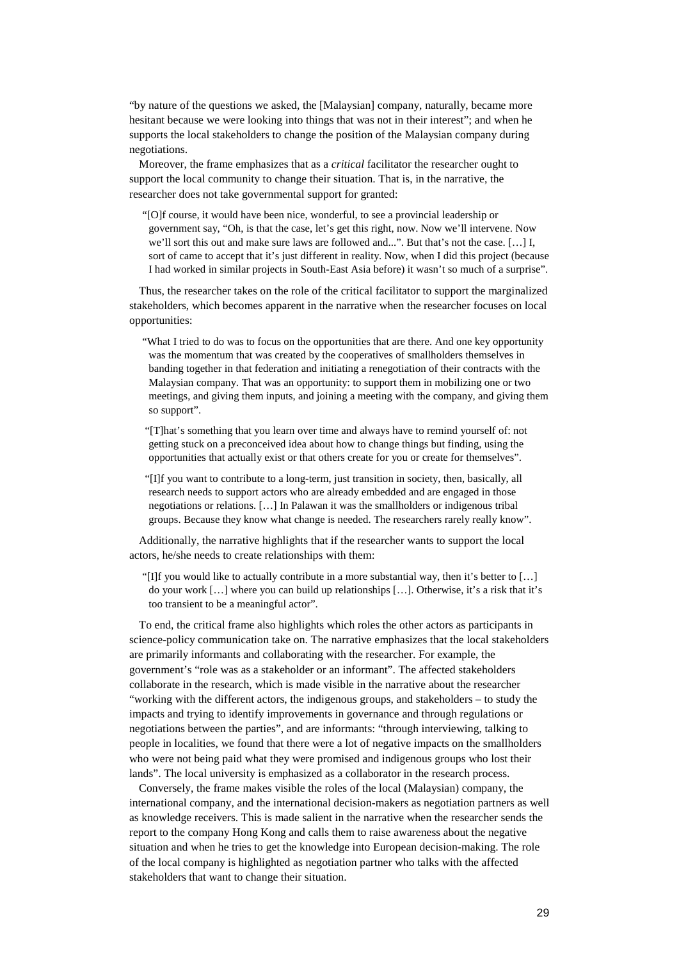"by nature of the questions we asked, the [Malaysian] company, naturally, became more hesitant because we were looking into things that was not in their interest"; and when he supports the local stakeholders to change the position of the Malaysian company during negotiations.

Moreover, the frame emphasizes that as a *critical* facilitator the researcher ought to support the local community to change their situation. That is, in the narrative, the researcher does not take governmental support for granted:

"[O]f course, it would have been nice, wonderful, to see a provincial leadership or government say, "Oh, is that the case, let's get this right, now. Now we'll intervene. Now we'll sort this out and make sure laws are followed and...". But that's not the case. […] I, sort of came to accept that it's just different in reality. Now, when I did this project (because I had worked in similar projects in South-East Asia before) it wasn't so much of a surprise".

Thus, the researcher takes on the role of the critical facilitator to support the marginalized stakeholders, which becomes apparent in the narrative when the researcher focuses on local opportunities:

"What I tried to do was to focus on the opportunities that are there. And one key opportunity was the momentum that was created by the cooperatives of smallholders themselves in banding together in that federation and initiating a renegotiation of their contracts with the Malaysian company. That was an opportunity: to support them in mobilizing one or two meetings, and giving them inputs, and joining a meeting with the company, and giving them so support".

"[T]hat's something that you learn over time and always have to remind yourself of: not getting stuck on a preconceived idea about how to change things but finding, using the opportunities that actually exist or that others create for you or create for themselves".

"[I]f you want to contribute to a long-term, just transition in society, then, basically, all research needs to support actors who are already embedded and are engaged in those negotiations or relations. […] In Palawan it was the smallholders or indigenous tribal groups. Because they know what change is needed. The researchers rarely really know".

Additionally, the narrative highlights that if the researcher wants to support the local actors, he/she needs to create relationships with them:

"[I]f you would like to actually contribute in a more substantial way, then it's better to […] do your work […] where you can build up relationships […]. Otherwise, it's a risk that it's too transient to be a meaningful actor".

To end, the critical frame also highlights which roles the other actors as participants in science-policy communication take on. The narrative emphasizes that the local stakeholders are primarily informants and collaborating with the researcher. For example, the government's "role was as a stakeholder or an informant". The affected stakeholders collaborate in the research, which is made visible in the narrative about the researcher "working with the different actors, the indigenous groups, and stakeholders – to study the impacts and trying to identify improvements in governance and through regulations or negotiations between the parties", and are informants: "through interviewing, talking to people in localities, we found that there were a lot of negative impacts on the smallholders who were not being paid what they were promised and indigenous groups who lost their lands". The local university is emphasized as a collaborator in the research process.

Conversely, the frame makes visible the roles of the local (Malaysian) company, the international company, and the international decision-makers as negotiation partners as well as knowledge receivers. This is made salient in the narrative when the researcher sends the report to the company Hong Kong and calls them to raise awareness about the negative situation and when he tries to get the knowledge into European decision-making. The role of the local company is highlighted as negotiation partner who talks with the affected stakeholders that want to change their situation.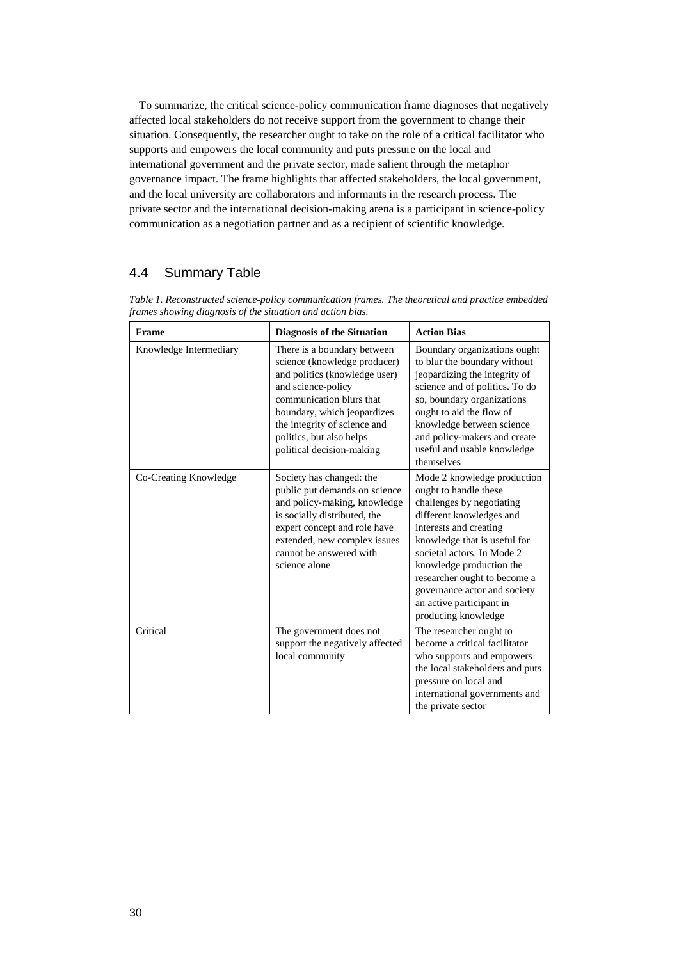To summarize, the critical science-policy communication frame diagnoses that negatively affected local stakeholders do not receive support from the government to change their situation. Consequently, the researcher ought to take on the role of a critical facilitator who supports and empowers the local community and puts pressure on the local and international government and the private sector, made salient through the metaphor governance impact. The frame highlights that affected stakeholders, the local government, and the local university are collaborators and informants in the research process. The private sector and the international decision-making arena is a participant in science-policy communication as a negotiation partner and as a recipient of scientific knowledge.

## 4.4 Summary Table

| <b>Frame</b>           | <b>Diagnosis of the Situation</b>                                                                                                                                                                                                                                      | <b>Action Bias</b>                                                                                                                                                                                                                                                                                                                                   |
|------------------------|------------------------------------------------------------------------------------------------------------------------------------------------------------------------------------------------------------------------------------------------------------------------|------------------------------------------------------------------------------------------------------------------------------------------------------------------------------------------------------------------------------------------------------------------------------------------------------------------------------------------------------|
| Knowledge Intermediary | There is a boundary between<br>science (knowledge producer)<br>and politics (knowledge user)<br>and science-policy<br>communication blurs that<br>boundary, which jeopardizes<br>the integrity of science and<br>politics, but also helps<br>political decision-making | Boundary organizations ought<br>to blur the boundary without<br>jeopardizing the integrity of<br>science and of politics. To do<br>so, boundary organizations<br>ought to aid the flow of<br>knowledge between science<br>and policy-makers and create<br>useful and usable knowledge<br>themselves                                                  |
| Co-Creating Knowledge  | Society has changed: the<br>public put demands on science<br>and policy-making, knowledge<br>is socially distributed, the<br>expert concept and role have<br>extended, new complex issues<br>cannot be answered with<br>science alone                                  | Mode 2 knowledge production<br>ought to handle these<br>challenges by negotiating<br>different knowledges and<br>interests and creating<br>knowledge that is useful for<br>societal actors. In Mode 2<br>knowledge production the<br>researcher ought to become a<br>governance actor and society<br>an active participant in<br>producing knowledge |
| Critical               | The government does not<br>support the negatively affected<br>local community                                                                                                                                                                                          | The researcher ought to<br>become a critical facilitator<br>who supports and empowers<br>the local stakeholders and puts<br>pressure on local and<br>international governments and<br>the private sector                                                                                                                                             |

*Table 1. Reconstructed science-policy communication frames. The theoretical and practice embedded frames showing diagnosis of the situation and action bias.*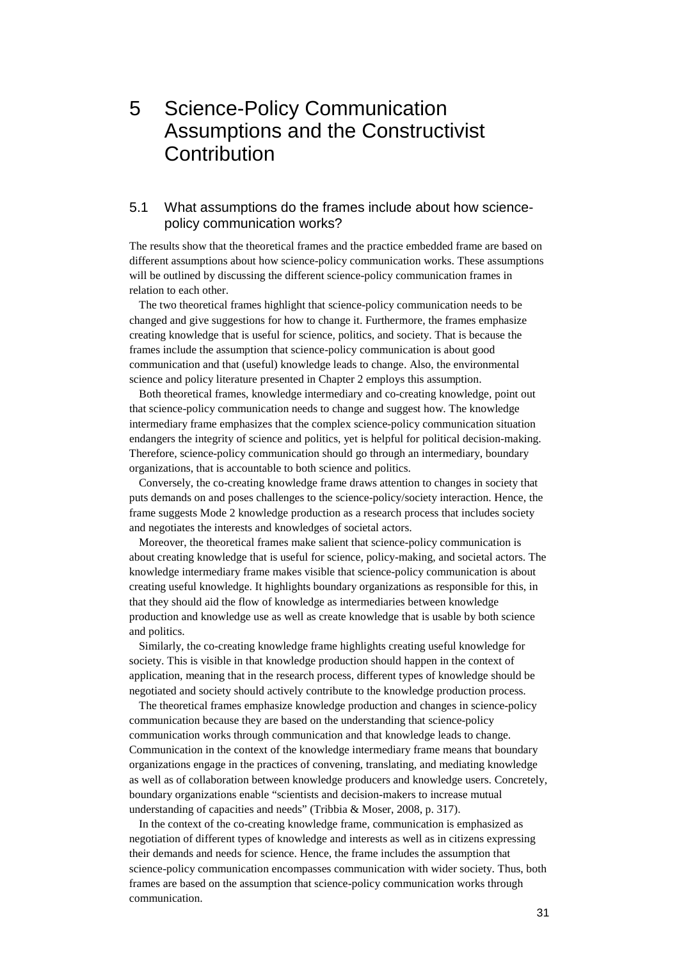## 5 Science-Policy Communication Assumptions and the Constructivist **Contribution**

## 5.1 What assumptions do the frames include about how sciencepolicy communication works?

The results show that the theoretical frames and the practice embedded frame are based on different assumptions about how science-policy communication works. These assumptions will be outlined by discussing the different science-policy communication frames in relation to each other.

The two theoretical frames highlight that science-policy communication needs to be changed and give suggestions for how to change it. Furthermore, the frames emphasize creating knowledge that is useful for science, politics, and society. That is because the frames include the assumption that science-policy communication is about good communication and that (useful) knowledge leads to change. Also, the environmental science and policy literature presented in Chapter 2 employs this assumption.

Both theoretical frames, knowledge intermediary and co-creating knowledge, point out that science-policy communication needs to change and suggest how. The knowledge intermediary frame emphasizes that the complex science-policy communication situation endangers the integrity of science and politics, yet is helpful for political decision-making. Therefore, science-policy communication should go through an intermediary, boundary organizations, that is accountable to both science and politics.

Conversely, the co-creating knowledge frame draws attention to changes in society that puts demands on and poses challenges to the science-policy/society interaction. Hence, the frame suggests Mode 2 knowledge production as a research process that includes society and negotiates the interests and knowledges of societal actors.

Moreover, the theoretical frames make salient that science-policy communication is about creating knowledge that is useful for science, policy-making, and societal actors. The knowledge intermediary frame makes visible that science-policy communication is about creating useful knowledge. It highlights boundary organizations as responsible for this, in that they should aid the flow of knowledge as intermediaries between knowledge production and knowledge use as well as create knowledge that is usable by both science and politics.

Similarly, the co-creating knowledge frame highlights creating useful knowledge for society. This is visible in that knowledge production should happen in the context of application, meaning that in the research process, different types of knowledge should be negotiated and society should actively contribute to the knowledge production process.

The theoretical frames emphasize knowledge production and changes in science-policy communication because they are based on the understanding that science-policy communication works through communication and that knowledge leads to change. Communication in the context of the knowledge intermediary frame means that boundary organizations engage in the practices of convening, translating, and mediating knowledge as well as of collaboration between knowledge producers and knowledge users. Concretely, boundary organizations enable "scientists and decision-makers to increase mutual understanding of capacities and needs" (Tribbia & Moser, 2008, p. 317).

In the context of the co-creating knowledge frame, communication is emphasized as negotiation of different types of knowledge and interests as well as in citizens expressing their demands and needs for science. Hence, the frame includes the assumption that science-policy communication encompasses communication with wider society. Thus, both frames are based on the assumption that science-policy communication works through communication.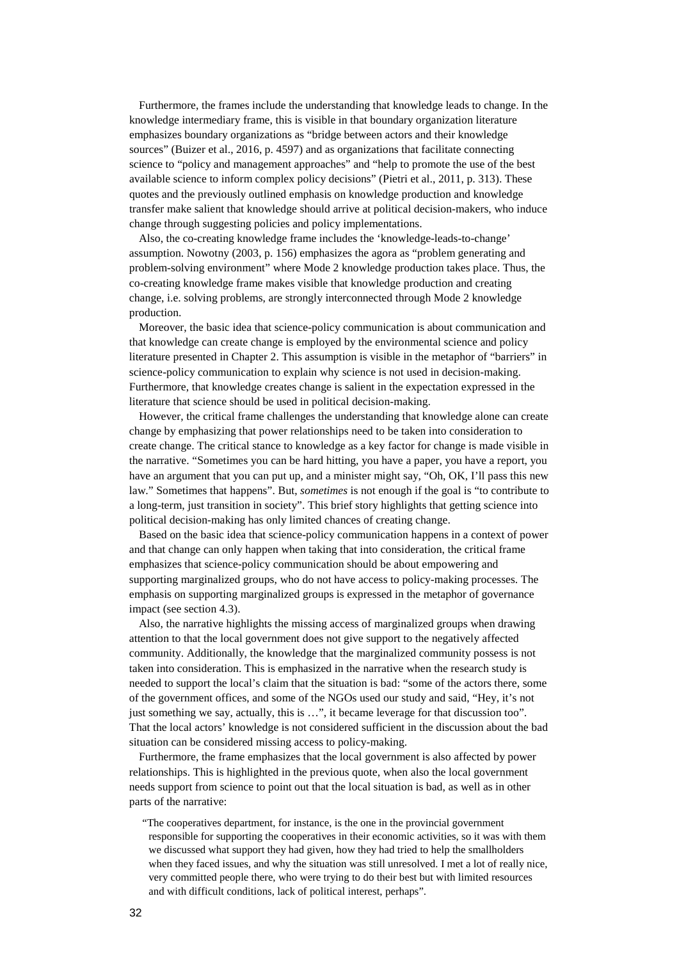Furthermore, the frames include the understanding that knowledge leads to change. In the knowledge intermediary frame, this is visible in that boundary organization literature emphasizes boundary organizations as "bridge between actors and their knowledge sources" (Buizer et al., 2016, p. 4597) and as organizations that facilitate connecting science to "policy and management approaches" and "help to promote the use of the best available science to inform complex policy decisions" (Pietri et al., 2011, p. 313). These quotes and the previously outlined emphasis on knowledge production and knowledge transfer make salient that knowledge should arrive at political decision-makers, who induce change through suggesting policies and policy implementations.

Also, the co-creating knowledge frame includes the 'knowledge-leads-to-change' assumption. Nowotny (2003, p. 156) emphasizes the agora as "problem generating and problem-solving environment" where Mode 2 knowledge production takes place. Thus, the co-creating knowledge frame makes visible that knowledge production and creating change, i.e. solving problems, are strongly interconnected through Mode 2 knowledge production.

Moreover, the basic idea that science-policy communication is about communication and that knowledge can create change is employed by the environmental science and policy literature presented in Chapter 2. This assumption is visible in the metaphor of "barriers" in science-policy communication to explain why science is not used in decision-making. Furthermore, that knowledge creates change is salient in the expectation expressed in the literature that science should be used in political decision-making.

However, the critical frame challenges the understanding that knowledge alone can create change by emphasizing that power relationships need to be taken into consideration to create change. The critical stance to knowledge as a key factor for change is made visible in the narrative. "Sometimes you can be hard hitting, you have a paper, you have a report, you have an argument that you can put up, and a minister might say, "Oh, OK, I'll pass this new law." Sometimes that happens". But, *sometimes* is not enough if the goal is "to contribute to a long-term, just transition in society". This brief story highlights that getting science into political decision-making has only limited chances of creating change.

Based on the basic idea that science-policy communication happens in a context of power and that change can only happen when taking that into consideration, the critical frame emphasizes that science-policy communication should be about empowering and supporting marginalized groups, who do not have access to policy-making processes. The emphasis on supporting marginalized groups is expressed in the metaphor of governance impact (see section 4.3).

Also, the narrative highlights the missing access of marginalized groups when drawing attention to that the local government does not give support to the negatively affected community. Additionally, the knowledge that the marginalized community possess is not taken into consideration. This is emphasized in the narrative when the research study is needed to support the local's claim that the situation is bad: "some of the actors there, some of the government offices, and some of the NGOs used our study and said, "Hey, it's not just something we say, actually, this is …", it became leverage for that discussion too". That the local actors' knowledge is not considered sufficient in the discussion about the bad situation can be considered missing access to policy-making.

Furthermore, the frame emphasizes that the local government is also affected by power relationships. This is highlighted in the previous quote, when also the local government needs support from science to point out that the local situation is bad, as well as in other parts of the narrative:

"The cooperatives department, for instance, is the one in the provincial government responsible for supporting the cooperatives in their economic activities, so it was with them we discussed what support they had given, how they had tried to help the smallholders when they faced issues, and why the situation was still unresolved. I met a lot of really nice, very committed people there, who were trying to do their best but with limited resources and with difficult conditions, lack of political interest, perhaps".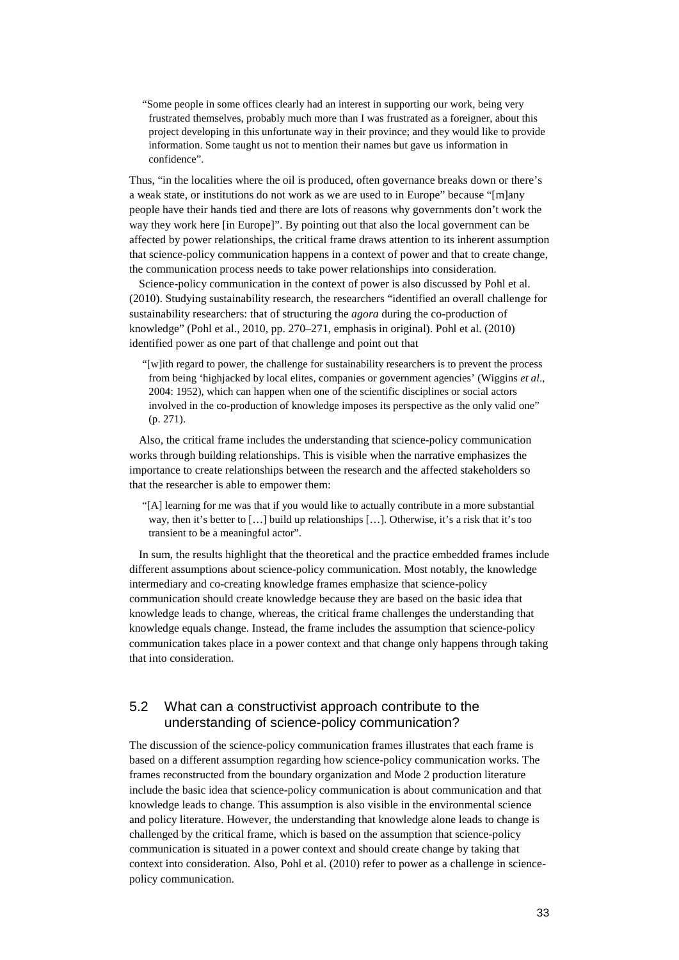"Some people in some offices clearly had an interest in supporting our work, being very frustrated themselves, probably much more than I was frustrated as a foreigner, about this project developing in this unfortunate way in their province; and they would like to provide information. Some taught us not to mention their names but gave us information in confidence".

Thus, "in the localities where the oil is produced, often governance breaks down or there's a weak state, or institutions do not work as we are used to in Europe" because "[m]any people have their hands tied and there are lots of reasons why governments don't work the way they work here [in Europe]". By pointing out that also the local government can be affected by power relationships, the critical frame draws attention to its inherent assumption that science-policy communication happens in a context of power and that to create change, the communication process needs to take power relationships into consideration.

Science-policy communication in the context of power is also discussed by Pohl et al. (2010). Studying sustainability research, the researchers "identified an overall challenge for sustainability researchers: that of structuring the *agora* during the co-production of knowledge" (Pohl et al., 2010, pp. 270–271, emphasis in original). Pohl et al. (2010) identified power as one part of that challenge and point out that

"[w]ith regard to power, the challenge for sustainability researchers is to prevent the process from being 'highjacked by local elites, companies or government agencies' (Wiggins *et al*., 2004: 1952), which can happen when one of the scientific disciplines or social actors involved in the co-production of knowledge imposes its perspective as the only valid one" (p. 271).

Also, the critical frame includes the understanding that science-policy communication works through building relationships. This is visible when the narrative emphasizes the importance to create relationships between the research and the affected stakeholders so that the researcher is able to empower them:

"[A] learning for me was that if you would like to actually contribute in a more substantial way, then it's better to […] build up relationships […]. Otherwise, it's a risk that it's too transient to be a meaningful actor".

In sum, the results highlight that the theoretical and the practice embedded frames include different assumptions about science-policy communication. Most notably, the knowledge intermediary and co-creating knowledge frames emphasize that science-policy communication should create knowledge because they are based on the basic idea that knowledge leads to change, whereas, the critical frame challenges the understanding that knowledge equals change. Instead, the frame includes the assumption that science-policy communication takes place in a power context and that change only happens through taking that into consideration.

## 5.2 What can a constructivist approach contribute to the understanding of science-policy communication?

The discussion of the science-policy communication frames illustrates that each frame is based on a different assumption regarding how science-policy communication works. The frames reconstructed from the boundary organization and Mode 2 production literature include the basic idea that science-policy communication is about communication and that knowledge leads to change. This assumption is also visible in the environmental science and policy literature. However, the understanding that knowledge alone leads to change is challenged by the critical frame, which is based on the assumption that science-policy communication is situated in a power context and should create change by taking that context into consideration. Also, Pohl et al. (2010) refer to power as a challenge in sciencepolicy communication.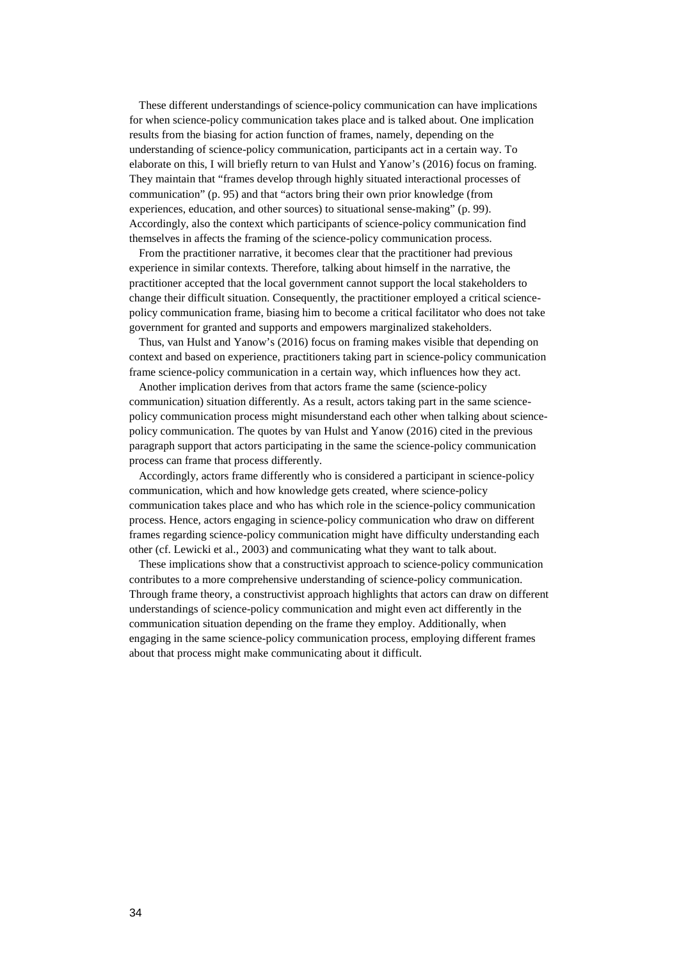These different understandings of science-policy communication can have implications for when science-policy communication takes place and is talked about. One implication results from the biasing for action function of frames, namely, depending on the understanding of science-policy communication, participants act in a certain way. To elaborate on this, I will briefly return to van Hulst and Yanow's (2016) focus on framing. They maintain that "frames develop through highly situated interactional processes of communication" (p. 95) and that "actors bring their own prior knowledge (from experiences, education, and other sources) to situational sense-making" (p. 99). Accordingly, also the context which participants of science-policy communication find themselves in affects the framing of the science-policy communication process.

From the practitioner narrative, it becomes clear that the practitioner had previous experience in similar contexts. Therefore, talking about himself in the narrative, the practitioner accepted that the local government cannot support the local stakeholders to change their difficult situation. Consequently, the practitioner employed a critical sciencepolicy communication frame, biasing him to become a critical facilitator who does not take government for granted and supports and empowers marginalized stakeholders.

Thus, van Hulst and Yanow's (2016) focus on framing makes visible that depending on context and based on experience, practitioners taking part in science-policy communication frame science-policy communication in a certain way, which influences how they act.

Another implication derives from that actors frame the same (science-policy communication) situation differently. As a result, actors taking part in the same sciencepolicy communication process might misunderstand each other when talking about sciencepolicy communication. The quotes by van Hulst and Yanow (2016) cited in the previous paragraph support that actors participating in the same the science-policy communication process can frame that process differently.

Accordingly, actors frame differently who is considered a participant in science-policy communication, which and how knowledge gets created, where science-policy communication takes place and who has which role in the science-policy communication process. Hence, actors engaging in science-policy communication who draw on different frames regarding science-policy communication might have difficulty understanding each other (cf. Lewicki et al., 2003) and communicating what they want to talk about.

These implications show that a constructivist approach to science-policy communication contributes to a more comprehensive understanding of science-policy communication. Through frame theory, a constructivist approach highlights that actors can draw on different understandings of science-policy communication and might even act differently in the communication situation depending on the frame they employ. Additionally, when engaging in the same science-policy communication process, employing different frames about that process might make communicating about it difficult.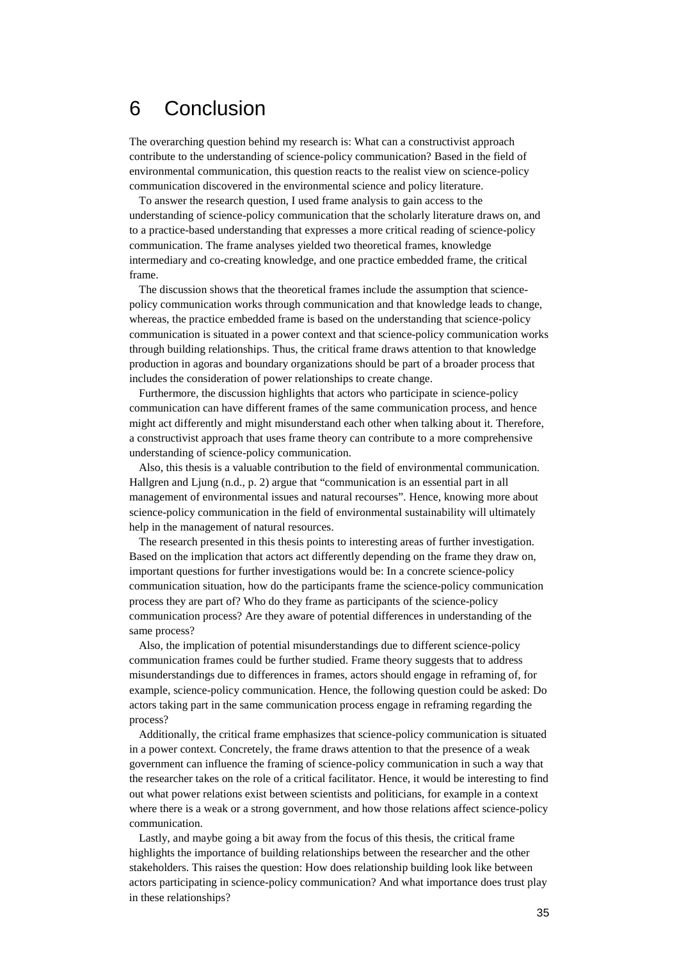## 6 Conclusion

The overarching question behind my research is: What can a constructivist approach contribute to the understanding of science-policy communication? Based in the field of environmental communication, this question reacts to the realist view on science-policy communication discovered in the environmental science and policy literature.

To answer the research question, I used frame analysis to gain access to the understanding of science-policy communication that the scholarly literature draws on, and to a practice-based understanding that expresses a more critical reading of science-policy communication. The frame analyses yielded two theoretical frames, knowledge intermediary and co-creating knowledge, and one practice embedded frame, the critical frame.

The discussion shows that the theoretical frames include the assumption that sciencepolicy communication works through communication and that knowledge leads to change, whereas, the practice embedded frame is based on the understanding that science-policy communication is situated in a power context and that science-policy communication works through building relationships. Thus, the critical frame draws attention to that knowledge production in agoras and boundary organizations should be part of a broader process that includes the consideration of power relationships to create change.

Furthermore, the discussion highlights that actors who participate in science-policy communication can have different frames of the same communication process, and hence might act differently and might misunderstand each other when talking about it. Therefore, a constructivist approach that uses frame theory can contribute to a more comprehensive understanding of science-policy communication.

Also, this thesis is a valuable contribution to the field of environmental communication. Hallgren and Ljung (n.d., p. 2) argue that "communication is an essential part in all management of environmental issues and natural recourses". Hence, knowing more about science-policy communication in the field of environmental sustainability will ultimately help in the management of natural resources.

The research presented in this thesis points to interesting areas of further investigation. Based on the implication that actors act differently depending on the frame they draw on, important questions for further investigations would be: In a concrete science-policy communication situation, how do the participants frame the science-policy communication process they are part of? Who do they frame as participants of the science-policy communication process? Are they aware of potential differences in understanding of the same process?

Also, the implication of potential misunderstandings due to different science-policy communication frames could be further studied. Frame theory suggests that to address misunderstandings due to differences in frames, actors should engage in reframing of, for example, science-policy communication. Hence, the following question could be asked: Do actors taking part in the same communication process engage in reframing regarding the process?

Additionally, the critical frame emphasizes that science-policy communication is situated in a power context. Concretely, the frame draws attention to that the presence of a weak government can influence the framing of science-policy communication in such a way that the researcher takes on the role of a critical facilitator. Hence, it would be interesting to find out what power relations exist between scientists and politicians, for example in a context where there is a weak or a strong government, and how those relations affect science-policy communication.

Lastly, and maybe going a bit away from the focus of this thesis, the critical frame highlights the importance of building relationships between the researcher and the other stakeholders. This raises the question: How does relationship building look like between actors participating in science-policy communication? And what importance does trust play in these relationships?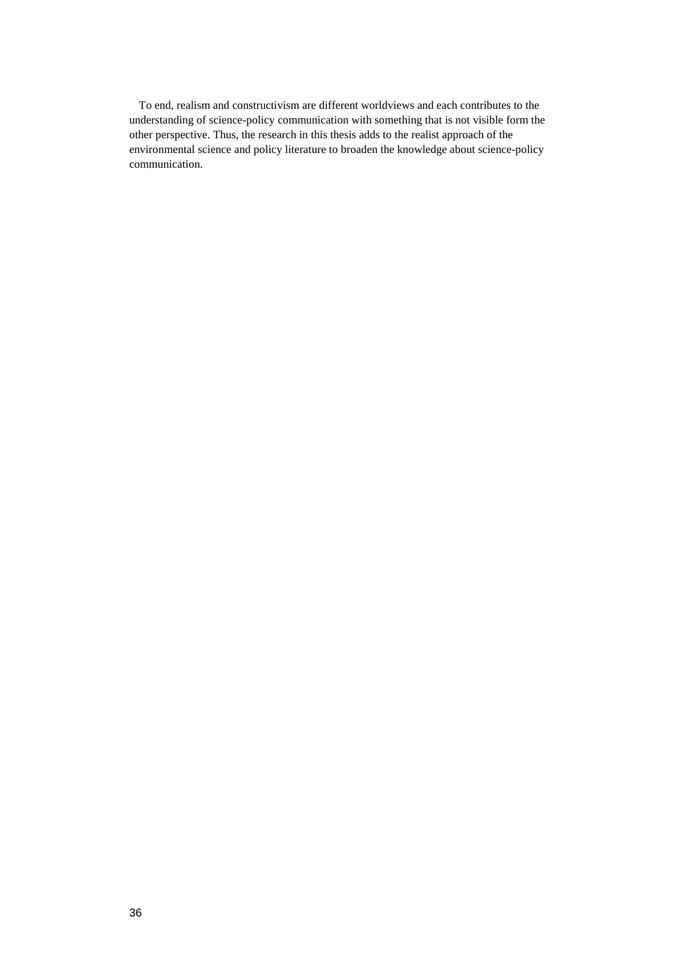To end, realism and constructivism are different worldviews and each contributes to the understanding of science-policy communication with something that is not visible form the other perspective. Thus, the research in this thesis adds to the realist approach of the environmental science and policy literature to broaden the knowledge about science-policy communication.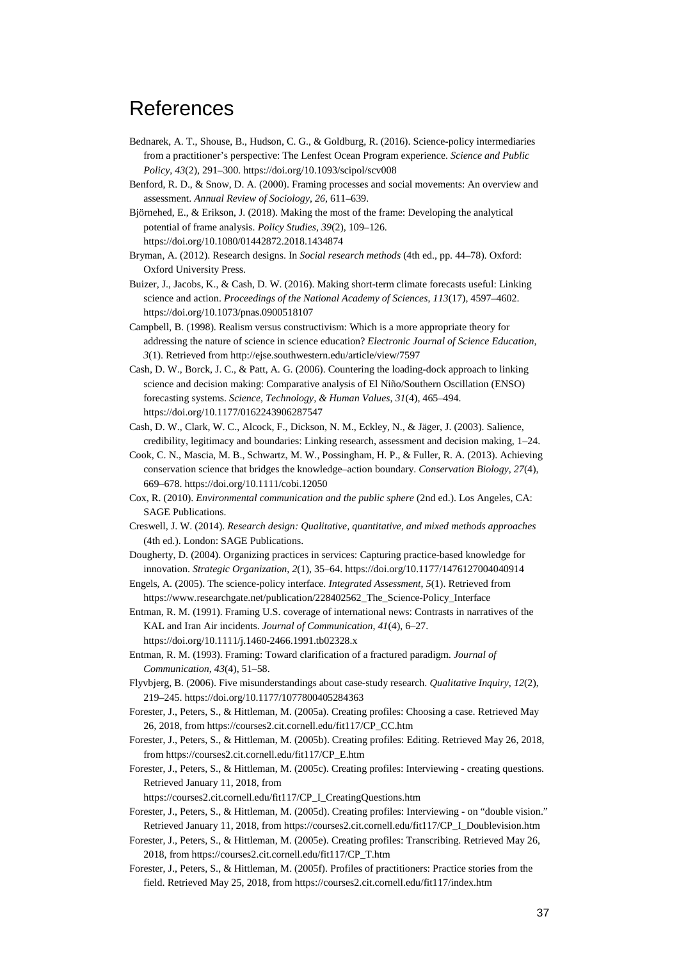## **References**

- Bednarek, A. T., Shouse, B., Hudson, C. G., & Goldburg, R. (2016). Science-policy intermediaries from a practitioner's perspective: The Lenfest Ocean Program experience. *Science and Public Policy*, *43*(2), 291–300. https://doi.org/10.1093/scipol/scv008
- Benford, R. D., & Snow, D. A. (2000). Framing processes and social movements: An overview and assessment. *Annual Review of Sociology*, *26*, 611–639.
- Björnehed, E., & Erikson, J. (2018). Making the most of the frame: Developing the analytical potential of frame analysis. *Policy Studies*, *39*(2), 109–126. https://doi.org/10.1080/01442872.2018.1434874
- Bryman, A. (2012). Research designs. In *Social research methods* (4th ed., pp. 44–78). Oxford: Oxford University Press.
- Buizer, J., Jacobs, K., & Cash, D. W. (2016). Making short-term climate forecasts useful: Linking science and action. *Proceedings of the National Academy of Sciences*, *113*(17), 4597–4602. https://doi.org/10.1073/pnas.0900518107
- Campbell, B. (1998). Realism versus constructivism: Which is a more appropriate theory for addressing the nature of science in science education? *Electronic Journal of Science Education*, *3*(1). Retrieved from http://ejse.southwestern.edu/article/view/7597
- Cash, D. W., Borck, J. C., & Patt, A. G. (2006). Countering the loading-dock approach to linking science and decision making: Comparative analysis of El Niño/Southern Oscillation (ENSO) forecasting systems. *Science, Technology, & Human Values*, *31*(4), 465–494. https://doi.org/10.1177/0162243906287547
- Cash, D. W., Clark, W. C., Alcock, F., Dickson, N. M., Eckley, N., & Jäger, J. (2003). Salience, credibility, legitimacy and boundaries: Linking research, assessment and decision making, 1–24.
- Cook, C. N., Mascia, M. B., Schwartz, M. W., Possingham, H. P., & Fuller, R. A. (2013). Achieving conservation science that bridges the knowledge–action boundary. *Conservation Biology*, *27*(4), 669–678. https://doi.org/10.1111/cobi.12050
- Cox, R. (2010). *Environmental communication and the public sphere* (2nd ed.). Los Angeles, CA: SAGE Publications.
- Creswell, J. W. (2014). *Research design: Qualitative, quantitative, and mixed methods approaches* (4th ed.). London: SAGE Publications.
- Dougherty, D. (2004). Organizing practices in services: Capturing practice-based knowledge for innovation. *Strategic Organization*, *2*(1), 35–64. https://doi.org/10.1177/1476127004040914
- Engels, A. (2005). The science-policy interface. *Integrated Assessment*, *5*(1). Retrieved from https://www.researchgate.net/publication/228402562\_The\_Science-Policy\_Interface
- Entman, R. M. (1991). Framing U.S. coverage of international news: Contrasts in narratives of the KAL and Iran Air incidents. *Journal of Communication*, *41*(4), 6–27. https://doi.org/10.1111/j.1460-2466.1991.tb02328.x
- Entman, R. M. (1993). Framing: Toward clarification of a fractured paradigm. *Journal of Communication*, *43*(4), 51–58.
- Flyvbjerg, B. (2006). Five misunderstandings about case-study research. *Qualitative Inquiry*, *12*(2), 219–245. https://doi.org/10.1177/1077800405284363
- Forester, J., Peters, S., & Hittleman, M. (2005a). Creating profiles: Choosing a case. Retrieved May 26, 2018, from https://courses2.cit.cornell.edu/fit117/CP\_CC.htm
- Forester, J., Peters, S., & Hittleman, M. (2005b). Creating profiles: Editing. Retrieved May 26, 2018, from https://courses2.cit.cornell.edu/fit117/CP\_E.htm
- Forester, J., Peters, S., & Hittleman, M. (2005c). Creating profiles: Interviewing creating questions. Retrieved January 11, 2018, from

https://courses2.cit.cornell.edu/fit117/CP\_I\_CreatingQuestions.htm

- Forester, J., Peters, S., & Hittleman, M. (2005d). Creating profiles: Interviewing on "double vision." Retrieved January 11, 2018, from https://courses2.cit.cornell.edu/fit117/CP\_I\_Doublevision.htm
- Forester, J., Peters, S., & Hittleman, M. (2005e). Creating profiles: Transcribing. Retrieved May 26, 2018, from https://courses2.cit.cornell.edu/fit117/CP\_T.htm
- Forester, J., Peters, S., & Hittleman, M. (2005f). Profiles of practitioners: Practice stories from the field. Retrieved May 25, 2018, from https://courses2.cit.cornell.edu/fit117/index.htm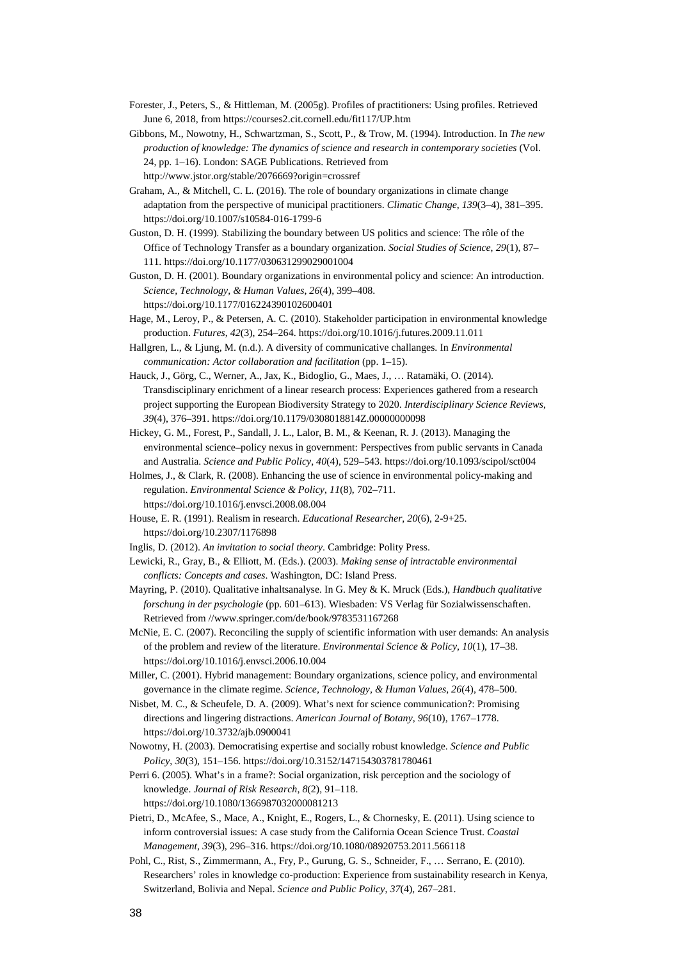- Forester, J., Peters, S., & Hittleman, M. (2005g). Profiles of practitioners: Using profiles. Retrieved June 6, 2018, from https://courses2.cit.cornell.edu/fit117/UP.htm
- Gibbons, M., Nowotny, H., Schwartzman, S., Scott, P., & Trow, M. (1994). Introduction. In *The new production of knowledge: The dynamics of science and research in contemporary societies* (Vol. 24, pp. 1–16). London: SAGE Publications. Retrieved from http://www.jstor.org/stable/2076669?origin=crossref
- Graham, A., & Mitchell, C. L. (2016). The role of boundary organizations in climate change adaptation from the perspective of municipal practitioners. *Climatic Change*, *139*(3–4), 381–395. https://doi.org/10.1007/s10584-016-1799-6
- Guston, D. H. (1999). Stabilizing the boundary between US politics and science: The rôle of the Office of Technology Transfer as a boundary organization. *Social Studies of Science*, *29*(1), 87– 111. https://doi.org/10.1177/030631299029001004
- Guston, D. H. (2001). Boundary organizations in environmental policy and science: An introduction. *Science, Technology, & Human Values*, *26*(4), 399–408. https://doi.org/10.1177/016224390102600401
- Hage, M., Leroy, P., & Petersen, A. C. (2010). Stakeholder participation in environmental knowledge production. *Futures*, *42*(3), 254–264. https://doi.org/10.1016/j.futures.2009.11.011
- Hallgren, L., & Ljung, M. (n.d.). A diversity of communicative challanges. In *Environmental communication: Actor collaboration and facilitation* (pp. 1–15).
- Hauck, J., Görg, C., Werner, A., Jax, K., Bidoglio, G., Maes, J., … Ratamäki, O. (2014). Transdisciplinary enrichment of a linear research process: Experiences gathered from a research project supporting the European Biodiversity Strategy to 2020. *Interdisciplinary Science Reviews*, *39*(4), 376–391. https://doi.org/10.1179/0308018814Z.00000000098
- Hickey, G. M., Forest, P., Sandall, J. L., Lalor, B. M., & Keenan, R. J. (2013). Managing the environmental science–policy nexus in government: Perspectives from public servants in Canada and Australia. *Science and Public Policy*, *40*(4), 529–543. https://doi.org/10.1093/scipol/sct004
- Holmes, J., & Clark, R. (2008). Enhancing the use of science in environmental policy-making and regulation. *Environmental Science & Policy*, *11*(8), 702–711. https://doi.org/10.1016/j.envsci.2008.08.004
- House, E. R. (1991). Realism in research. *Educational Researcher*, *20*(6), 2-9+25. https://doi.org/10.2307/1176898
- Inglis, D. (2012). *An invitation to social theory*. Cambridge: Polity Press.
- Lewicki, R., Gray, B., & Elliott, M. (Eds.). (2003). *Making sense of intractable environmental conflicts: Concepts and cases*. Washington, DC: Island Press.
- Mayring, P. (2010). Qualitative inhaltsanalyse. In G. Mey & K. Mruck (Eds.), *Handbuch qualitative forschung in der psychologie* (pp. 601–613). Wiesbaden: VS Verlag für Sozialwissenschaften. Retrieved from //www.springer.com/de/book/9783531167268

McNie, E. C. (2007). Reconciling the supply of scientific information with user demands: An analysis of the problem and review of the literature. *Environmental Science & Policy*, *10*(1), 17–38. https://doi.org/10.1016/j.envsci.2006.10.004

- Miller, C. (2001). Hybrid management: Boundary organizations, science policy, and environmental governance in the climate regime. *Science, Technology, & Human Values*, *26*(4), 478–500.
- Nisbet, M. C., & Scheufele, D. A. (2009). What's next for science communication?: Promising directions and lingering distractions. *American Journal of Botany*, *96*(10), 1767–1778. https://doi.org/10.3732/ajb.0900041
- Nowotny, H. (2003). Democratising expertise and socially robust knowledge. *Science and Public Policy*, *30*(3), 151–156. https://doi.org/10.3152/147154303781780461
- Perri 6. (2005). What's in a frame?: Social organization, risk perception and the sociology of knowledge. *Journal of Risk Research*, *8*(2), 91–118. https://doi.org/10.1080/1366987032000081213
- Pietri, D., McAfee, S., Mace, A., Knight, E., Rogers, L., & Chornesky, E. (2011). Using science to inform controversial issues: A case study from the California Ocean Science Trust. *Coastal Management*, *39*(3), 296–316. https://doi.org/10.1080/08920753.2011.566118
- Pohl, C., Rist, S., Zimmermann, A., Fry, P., Gurung, G. S., Schneider, F., … Serrano, E. (2010). Researchers' roles in knowledge co-production: Experience from sustainability research in Kenya, Switzerland, Bolivia and Nepal. *Science and Public Policy*, *37*(4), 267–281.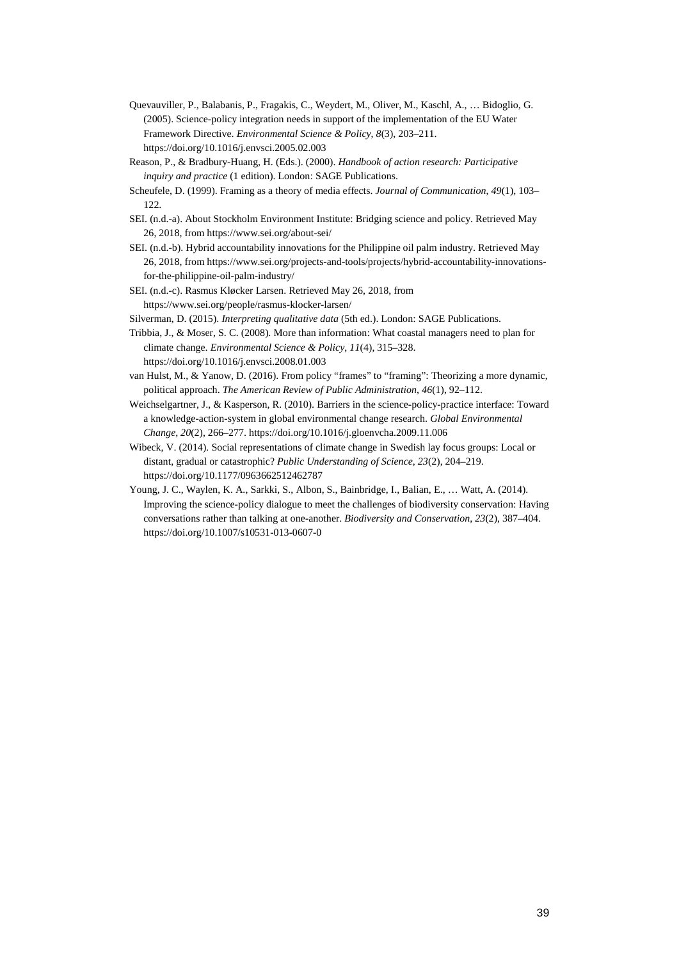- Quevauviller, P., Balabanis, P., Fragakis, C., Weydert, M., Oliver, M., Kaschl, A., … Bidoglio, G. (2005). Science-policy integration needs in support of the implementation of the EU Water Framework Directive. *Environmental Science & Policy*, *8*(3), 203–211. https://doi.org/10.1016/j.envsci.2005.02.003
- Reason, P., & Bradbury-Huang, H. (Eds.). (2000). *Handbook of action research: Participative inquiry and practice* (1 edition). London: SAGE Publications.
- Scheufele, D. (1999). Framing as a theory of media effects. *Journal of Communication*, *49*(1), 103– 122.
- SEI. (n.d.-a). About Stockholm Environment Institute: Bridging science and policy. Retrieved May 26, 2018, from https://www.sei.org/about-sei/
- SEI. (n.d.-b). Hybrid accountability innovations for the Philippine oil palm industry. Retrieved May 26, 2018, from https://www.sei.org/projects-and-tools/projects/hybrid-accountability-innovationsfor-the-philippine-oil-palm-industry/
- SEI. (n.d.-c). Rasmus Kløcker Larsen. Retrieved May 26, 2018, from https://www.sei.org/people/rasmus-klocker-larsen/
- Silverman, D. (2015). *Interpreting qualitative data* (5th ed.). London: SAGE Publications.

Tribbia, J., & Moser, S. C. (2008). More than information: What coastal managers need to plan for climate change. *Environmental Science & Policy*, *11*(4), 315–328. https://doi.org/10.1016/j.envsci.2008.01.003

- van Hulst, M., & Yanow, D. (2016). From policy "frames" to "framing": Theorizing a more dynamic, political approach. *The American Review of Public Administration*, *46*(1), 92–112.
- Weichselgartner, J., & Kasperson, R. (2010). Barriers in the science-policy-practice interface: Toward a knowledge-action-system in global environmental change research. *Global Environmental Change*, *20*(2), 266–277. https://doi.org/10.1016/j.gloenvcha.2009.11.006
- Wibeck, V. (2014). Social representations of climate change in Swedish lay focus groups: Local or distant, gradual or catastrophic? *Public Understanding of Science*, *23*(2), 204–219. https://doi.org/10.1177/0963662512462787
- Young, J. C., Waylen, K. A., Sarkki, S., Albon, S., Bainbridge, I., Balian, E., … Watt, A. (2014). Improving the science-policy dialogue to meet the challenges of biodiversity conservation: Having conversations rather than talking at one-another. *Biodiversity and Conservation*, *23*(2), 387–404. https://doi.org/10.1007/s10531-013-0607-0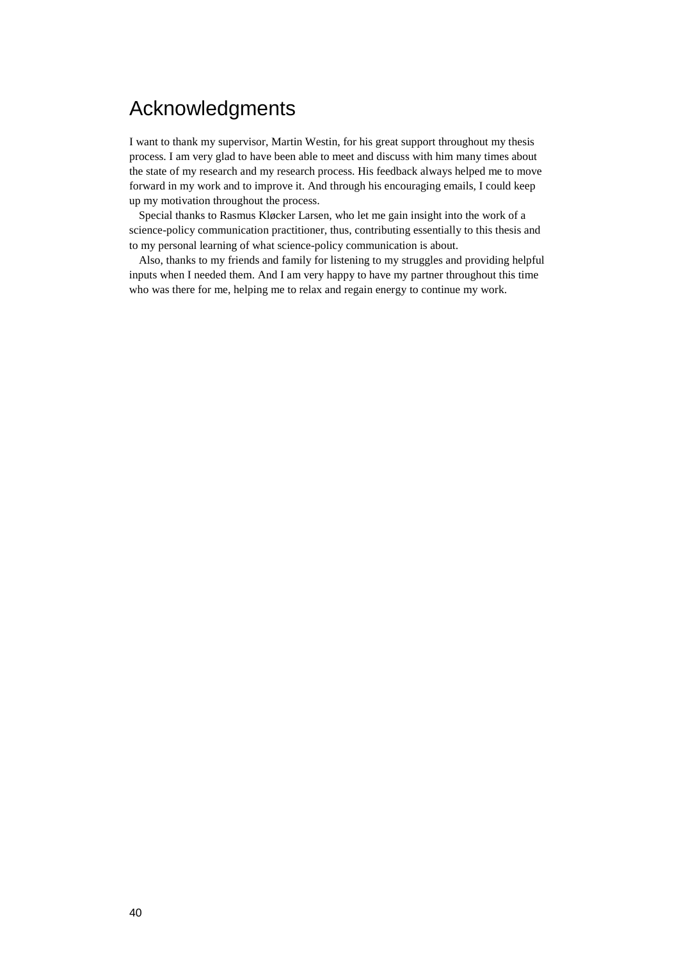## Acknowledgments

I want to thank my supervisor, Martin Westin, for his great support throughout my thesis process. I am very glad to have been able to meet and discuss with him many times about the state of my research and my research process. His feedback always helped me to move forward in my work and to improve it. And through his encouraging emails, I could keep up my motivation throughout the process.

Special thanks to Rasmus Kløcker Larsen, who let me gain insight into the work of a science-policy communication practitioner, thus, contributing essentially to this thesis and to my personal learning of what science-policy communication is about.

Also, thanks to my friends and family for listening to my struggles and providing helpful inputs when I needed them. And I am very happy to have my partner throughout this time who was there for me, helping me to relax and regain energy to continue my work.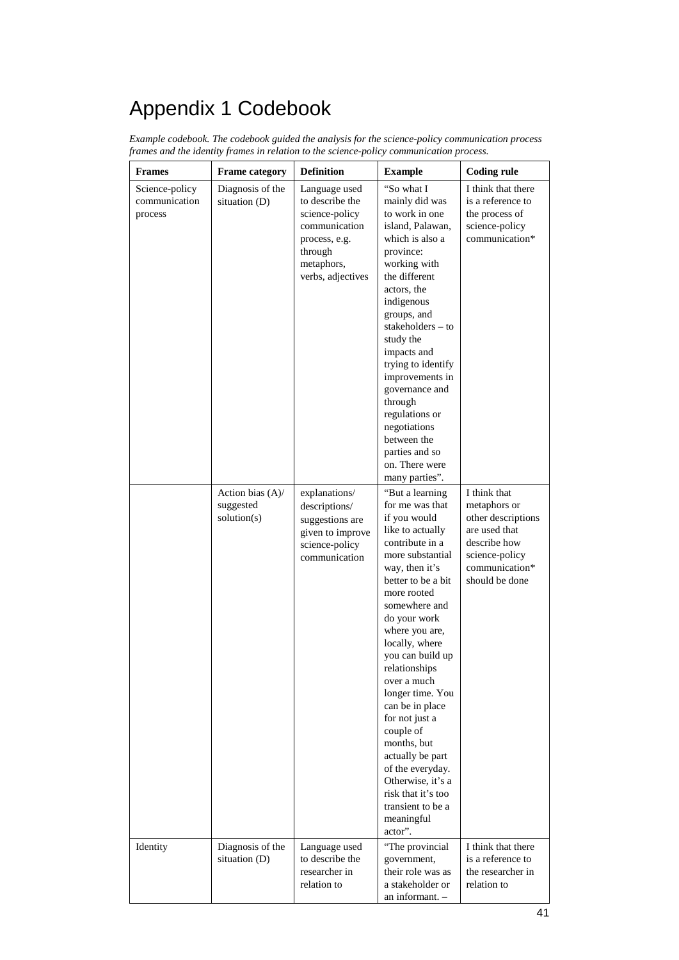# Appendix 1 Codebook

*Example codebook. The codebook guided the analysis for the science-policy communication process frames and the identity frames in relation to the science-policy communication process.* 

| <b>Frames</b>                              | <b>Frame category</b>                        | <b>Definition</b>                                                                                                                  | <b>Example</b>                                                                                                                                                                                                                                                                                                                                                                                                                                                                                                      | <b>Coding rule</b>                                                                                                                        |
|--------------------------------------------|----------------------------------------------|------------------------------------------------------------------------------------------------------------------------------------|---------------------------------------------------------------------------------------------------------------------------------------------------------------------------------------------------------------------------------------------------------------------------------------------------------------------------------------------------------------------------------------------------------------------------------------------------------------------------------------------------------------------|-------------------------------------------------------------------------------------------------------------------------------------------|
| Science-policy<br>communication<br>process | Diagnosis of the<br>situation (D)            | Language used<br>to describe the<br>science-policy<br>communication<br>process, e.g.<br>through<br>metaphors,<br>verbs, adjectives | "So what I<br>mainly did was<br>to work in one<br>island, Palawan,<br>which is also a<br>province:<br>working with<br>the different<br>actors, the<br>indigenous<br>groups, and<br>stakeholders $-$ to<br>study the<br>impacts and<br>trying to identify<br>improvements in<br>governance and<br>through<br>regulations or<br>negotiations<br>between the<br>parties and so<br>on. There were<br>many parties".                                                                                                     | I think that there<br>is a reference to<br>the process of<br>science-policy<br>communication*                                             |
|                                            | Action bias (A)/<br>suggested<br>solution(s) | explanations/<br>descriptions/<br>suggestions are<br>given to improve<br>science-policy<br>communication                           | "But a learning<br>for me was that<br>if you would<br>like to actually<br>contribute in a<br>more substantial<br>way, then it's<br>better to be a bit<br>more rooted<br>somewhere and<br>do your work<br>where you are,<br>locally, where<br>you can build up<br>relationships<br>over a much<br>longer time. You<br>can be in place<br>for not just a<br>couple of<br>months, but<br>actually be part<br>of the everyday.<br>Otherwise, it's a<br>risk that it's too<br>transient to be a<br>meaningful<br>actor". | I think that<br>metaphors or<br>other descriptions<br>are used that<br>describe how<br>science-policy<br>communication*<br>should be done |
| Identity                                   | Diagnosis of the<br>situation (D)            | Language used<br>to describe the<br>researcher in<br>relation to                                                                   | "The provincial<br>government,<br>their role was as<br>a stakeholder or<br>an informant. -                                                                                                                                                                                                                                                                                                                                                                                                                          | I think that there<br>is a reference to<br>the researcher in<br>relation to                                                               |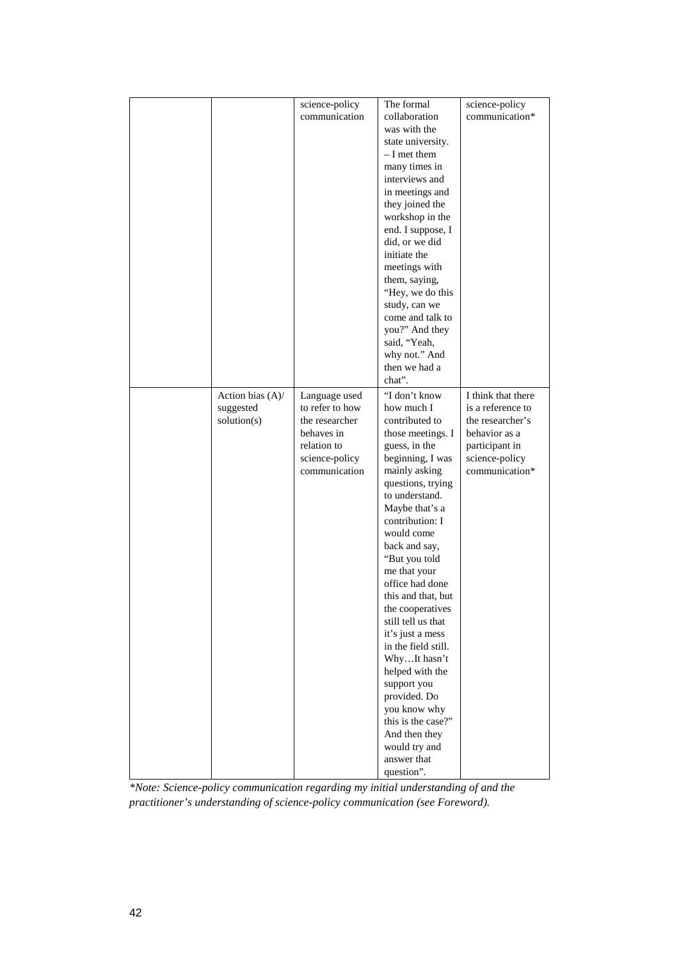|                                              | science-policy<br>communication                                                                                    | The formal<br>collaboration<br>was with the<br>state university.<br>- I met them<br>many times in<br>interviews and<br>in meetings and<br>they joined the<br>workshop in the<br>end. I suppose, I<br>did, or we did<br>initiate the<br>meetings with<br>them, saying,<br>"Hey, we do this<br>study, can we<br>come and talk to<br>you?" And they<br>said, "Yeah,<br>why not." And<br>then we had a<br>chat".                                                                                                                                                              | science-policy<br>communication*                                                                                                   |
|----------------------------------------------|--------------------------------------------------------------------------------------------------------------------|---------------------------------------------------------------------------------------------------------------------------------------------------------------------------------------------------------------------------------------------------------------------------------------------------------------------------------------------------------------------------------------------------------------------------------------------------------------------------------------------------------------------------------------------------------------------------|------------------------------------------------------------------------------------------------------------------------------------|
| Action bias (A)/<br>suggested<br>solution(s) | Language used<br>to refer to how<br>the researcher<br>behaves in<br>relation to<br>science-policy<br>communication | "I don't know<br>how much I<br>contributed to<br>those meetings. I<br>guess, in the<br>beginning, I was<br>mainly asking<br>questions, trying<br>to understand.<br>Maybe that's a<br>contribution: I<br>would come<br>back and say,<br>"But you told<br>me that your<br>office had done<br>this and that, but<br>the cooperatives<br>still tell us that<br>it's just a mess<br>in the field still.<br>WhyIt hasn't<br>helped with the<br>support you<br>provided. Do<br>you know why<br>this is the case?"<br>And then they<br>would try and<br>answer that<br>question". | I think that there<br>is a reference to<br>the researcher's<br>behavior as a<br>participant in<br>science-policy<br>communication* |

*\*Note: Science-policy communication regarding my initial understanding of and the practitioner's understanding of science-policy communication (see Foreword).*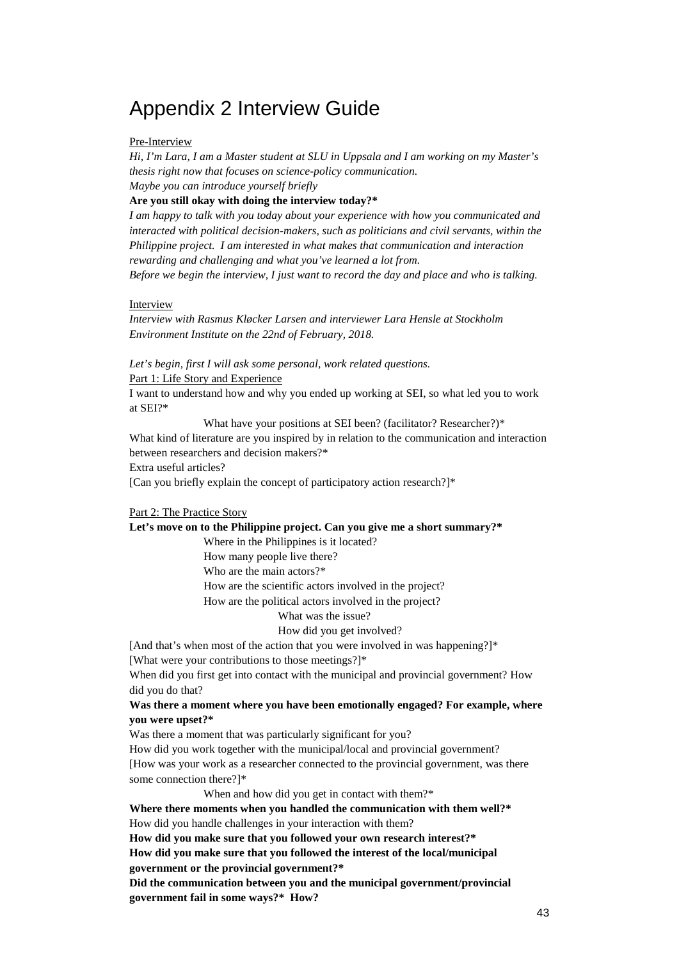## Appendix 2 Interview Guide

### Pre-Interview

*Hi, I'm Lara, I am a Master student at SLU in Uppsala and I am working on my Master's thesis right now that focuses on science-policy communication. Maybe you can introduce yourself briefly* 

### **Are you still okay with doing the interview today?\***

*I am happy to talk with you today about your experience with how you communicated and interacted with political decision-makers, such as politicians and civil servants, within the Philippine project. I am interested in what makes that communication and interaction rewarding and challenging and what you've learned a lot from. Before we begin the interview, I just want to record the day and place and who is talking.* 

#### **Interview**

*Interview with Rasmus Kløcker Larsen and interviewer Lara Hensle at Stockholm Environment Institute on the 22nd of February, 2018.* 

*Let's begin, first I will ask some personal, work related questions.*

Part 1: Life Story and Experience

I want to understand how and why you ended up working at SEI, so what led you to work at SEI?\*

What have your positions at SEI been? (facilitator? Researcher?)\* What kind of literature are you inspired by in relation to the communication and interaction between researchers and decision makers?\*

Extra useful articles?

[Can you briefly explain the concept of participatory action research?]\*

Part 2: The Practice Story

#### Let's move on to the Philippine project. Can you give me a short summary?\*

Where in the Philippines is it located?

How many people live there?

Who are the main actors?\*

How are the scientific actors involved in the project?

How are the political actors involved in the project?

What was the issue?

How did you get involved?

[And that's when most of the action that you were involved in was happening?]\*

[What were your contributions to those meetings?]\*

When did you first get into contact with the municipal and provincial government? How did you do that?

### **Was there a moment where you have been emotionally engaged? For example, where you were upset?\***

Was there a moment that was particularly significant for you?

How did you work together with the municipal/local and provincial government?

[How was your work as a researcher connected to the provincial government, was there some connection there?]\*

### When and how did you get in contact with them?\*

**Where there moments when you handled the communication with them well?\*** How did you handle challenges in your interaction with them?

**How did you make sure that you followed your own research interest?\***

**How did you make sure that you followed the interest of the local/municipal** 

**government or the provincial government?\***

**Did the communication between you and the municipal government/provincial government fail in some ways?\* How?**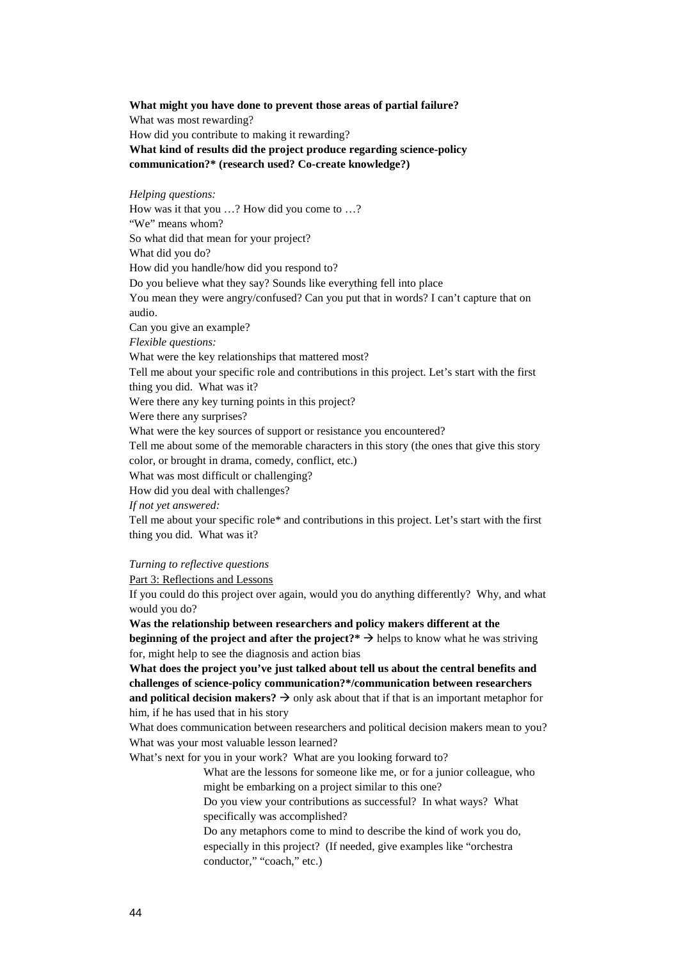**What might you have done to prevent those areas of partial failure?** What was most rewarding? How did you contribute to making it rewarding? **What kind of results did the project produce regarding science-policy communication?\* (research used? Co-create knowledge?)**

*Helping questions:*  How was it that you …? How did you come to …? "We" means whom? So what did that mean for your project? What did you do? How did you handle/how did you respond to? Do you believe what they say? Sounds like everything fell into place You mean they were angry/confused? Can you put that in words? I can't capture that on audio. Can you give an example? *Flexible questions:*  What were the key relationships that mattered most? Tell me about your specific role and contributions in this project. Let's start with the first thing you did. What was it? Were there any key turning points in this project? Were there any surprises? What were the key sources of support or resistance you encountered? Tell me about some of the memorable characters in this story (the ones that give this story color, or brought in drama, comedy, conflict, etc.) What was most difficult or challenging? How did you deal with challenges?

*If not yet answered:* 

Tell me about your specific role\* and contributions in this project. Let's start with the first thing you did. What was it?

*Turning to reflective questions*

Part 3: Reflections and Lessons

If you could do this project over again, would you do anything differently? Why, and what would you do?

**Was the relationship between researchers and policy makers different at the beginning of the project and after the project?\***  $\rightarrow$  helps to know what he was striving for, might help to see the diagnosis and action bias

**What does the project you've just talked about tell us about the central benefits and challenges of science-policy communication?\*/communication between researchers and political decision makers?**  $\rightarrow$  only ask about that if that is an important metaphor for him, if he has used that in his story

What does communication between researchers and political decision makers mean to you? What was your most valuable lesson learned?

What's next for you in your work? What are you looking forward to?

What are the lessons for someone like me, or for a junior colleague, who might be embarking on a project similar to this one?

Do you view your contributions as successful? In what ways? What specifically was accomplished?

Do any metaphors come to mind to describe the kind of work you do, especially in this project? (If needed, give examples like "orchestra conductor," "coach," etc.)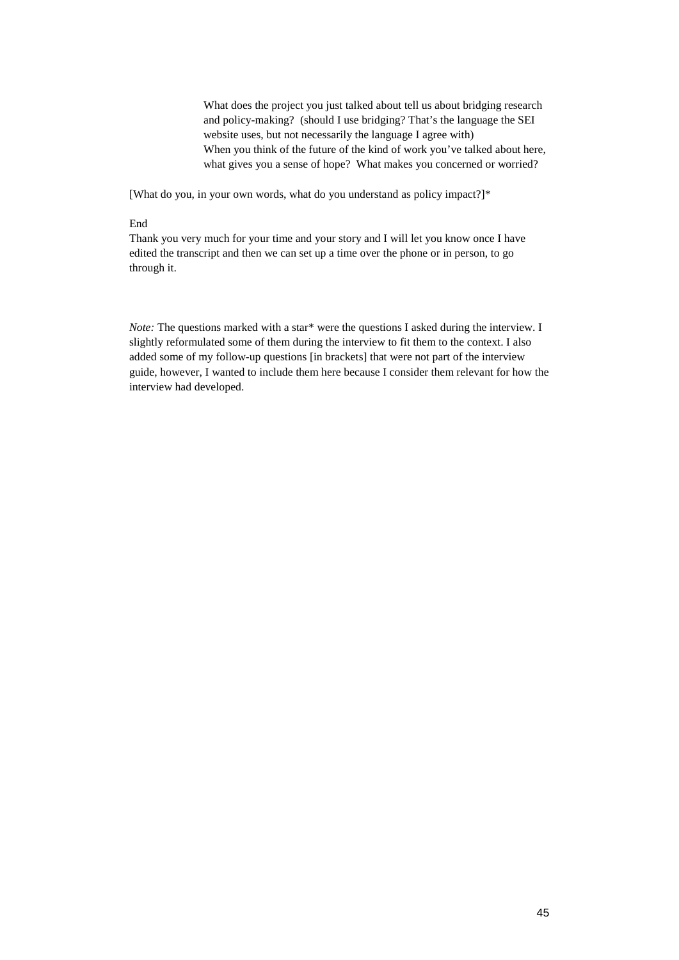What does the project you just talked about tell us about bridging research and policy-making? (should I use bridging? That's the language the SEI website uses, but not necessarily the language I agree with) When you think of the future of the kind of work you've talked about here, what gives you a sense of hope? What makes you concerned or worried?

[What do you, in your own words, what do you understand as policy impact?]\*

#### End

Thank you very much for your time and your story and I will let you know once I have edited the transcript and then we can set up a time over the phone or in person, to go through it.

*Note:* The questions marked with a star<sup>\*</sup> were the questions I asked during the interview. I slightly reformulated some of them during the interview to fit them to the context. I also added some of my follow-up questions [in brackets] that were not part of the interview guide, however, I wanted to include them here because I consider them relevant for how the interview had developed.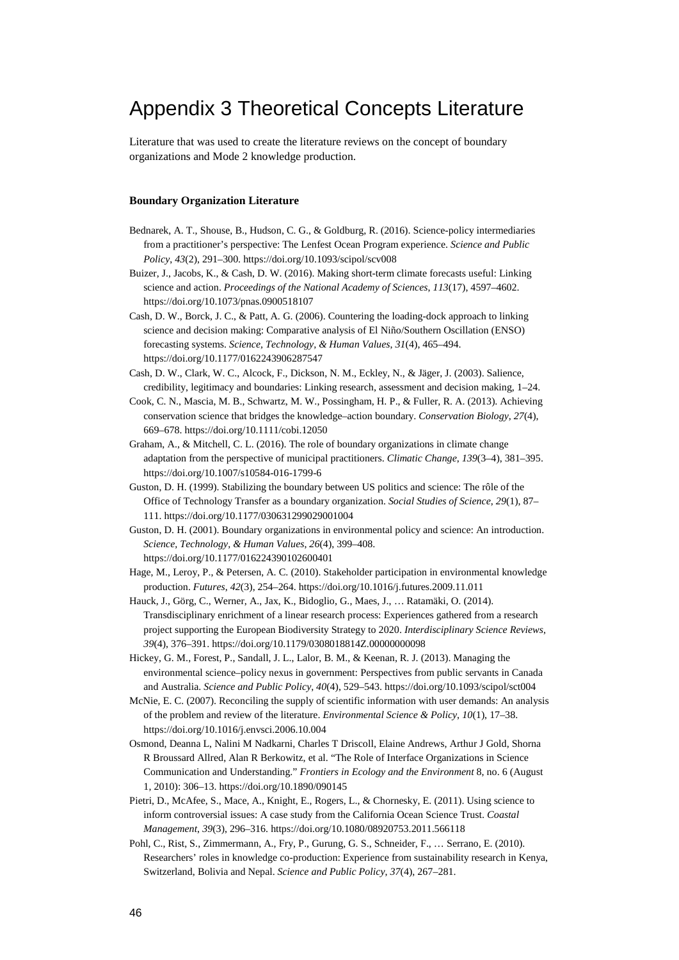## Appendix 3 Theoretical Concepts Literature

Literature that was used to create the literature reviews on the concept of boundary organizations and Mode 2 knowledge production.

#### **Boundary Organization Literature**

- Bednarek, A. T., Shouse, B., Hudson, C. G., & Goldburg, R. (2016). Science-policy intermediaries from a practitioner's perspective: The Lenfest Ocean Program experience. *Science and Public Policy*, *43*(2), 291–300. https://doi.org/10.1093/scipol/scv008
- Buizer, J., Jacobs, K., & Cash, D. W. (2016). Making short-term climate forecasts useful: Linking science and action. *Proceedings of the National Academy of Sciences*, *113*(17), 4597–4602. https://doi.org/10.1073/pnas.0900518107
- Cash, D. W., Borck, J. C., & Patt, A. G. (2006). Countering the loading-dock approach to linking science and decision making: Comparative analysis of El Niño/Southern Oscillation (ENSO) forecasting systems. *Science, Technology, & Human Values*, *31*(4), 465–494. https://doi.org/10.1177/0162243906287547
- Cash, D. W., Clark, W. C., Alcock, F., Dickson, N. M., Eckley, N., & Jäger, J. (2003). Salience, credibility, legitimacy and boundaries: Linking research, assessment and decision making, 1–24.
- Cook, C. N., Mascia, M. B., Schwartz, M. W., Possingham, H. P., & Fuller, R. A. (2013). Achieving conservation science that bridges the knowledge–action boundary. *Conservation Biology*, *27*(4), 669–678. https://doi.org/10.1111/cobi.12050
- Graham, A., & Mitchell, C. L. (2016). The role of boundary organizations in climate change adaptation from the perspective of municipal practitioners. *Climatic Change*, *139*(3–4), 381–395. https://doi.org/10.1007/s10584-016-1799-6
- Guston, D. H. (1999). Stabilizing the boundary between US politics and science: The rôle of the Office of Technology Transfer as a boundary organization. *Social Studies of Science*, *29*(1), 87– 111. https://doi.org/10.1177/030631299029001004
- Guston, D. H. (2001). Boundary organizations in environmental policy and science: An introduction. *Science, Technology, & Human Values*, *26*(4), 399–408. https://doi.org/10.1177/016224390102600401
- Hage, M., Leroy, P., & Petersen, A. C. (2010). Stakeholder participation in environmental knowledge production. *Futures*, *42*(3), 254–264. https://doi.org/10.1016/j.futures.2009.11.011
- Hauck, J., Görg, C., Werner, A., Jax, K., Bidoglio, G., Maes, J., … Ratamäki, O. (2014). Transdisciplinary enrichment of a linear research process: Experiences gathered from a research project supporting the European Biodiversity Strategy to 2020. *Interdisciplinary Science Reviews*, *39*(4), 376–391. https://doi.org/10.1179/0308018814Z.00000000098
- Hickey, G. M., Forest, P., Sandall, J. L., Lalor, B. M., & Keenan, R. J. (2013). Managing the environmental science–policy nexus in government: Perspectives from public servants in Canada and Australia. *Science and Public Policy*, *40*(4), 529–543. https://doi.org/10.1093/scipol/sct004
- McNie, E. C. (2007). Reconciling the supply of scientific information with user demands: An analysis of the problem and review of the literature. *Environmental Science & Policy*, *10*(1), 17–38. https://doi.org/10.1016/j.envsci.2006.10.004
- Osmond, Deanna L, Nalini M Nadkarni, Charles T Driscoll, Elaine Andrews, Arthur J Gold, Shorna R Broussard Allred, Alan R Berkowitz, et al. "The Role of Interface Organizations in Science Communication and Understanding." *Frontiers in Ecology and the Environment* 8, no. 6 (August 1, 2010): 306–13. https://doi.org/10.1890/090145
- Pietri, D., McAfee, S., Mace, A., Knight, E., Rogers, L., & Chornesky, E. (2011). Using science to inform controversial issues: A case study from the California Ocean Science Trust. *Coastal Management*, *39*(3), 296–316. https://doi.org/10.1080/08920753.2011.566118
- Pohl, C., Rist, S., Zimmermann, A., Fry, P., Gurung, G. S., Schneider, F., … Serrano, E. (2010). Researchers' roles in knowledge co-production: Experience from sustainability research in Kenya, Switzerland, Bolivia and Nepal. *Science and Public Policy*, *37*(4), 267–281.